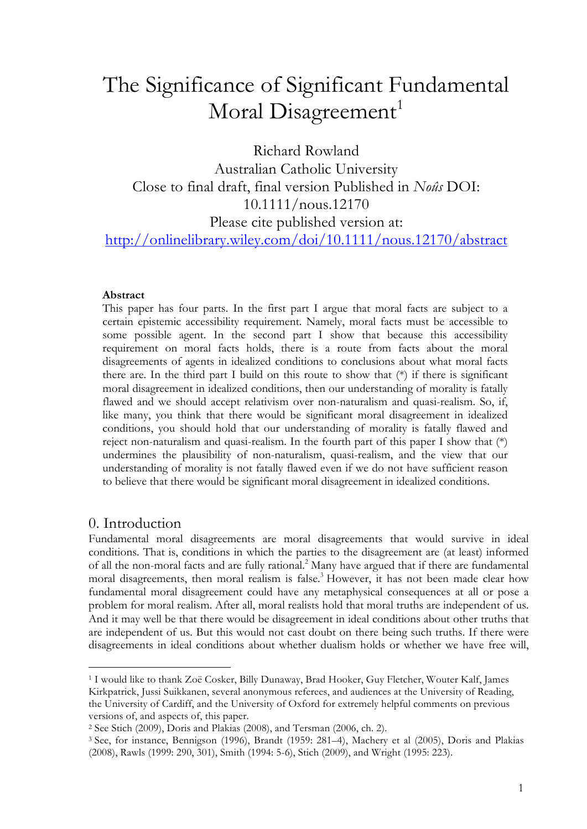# The Significance of Significant Fundamental Moral Disagreement<sup>1</sup>

Richard Rowland Australian Catholic University Close to final draft, final version Published in *Noûs* DOI: 10.1111/nous.12170 Please cite published version at: http://onlinelibrary.wiley.com/doi/10.1111/nous.12170/abstract

### **Abstract**

This paper has four parts. In the first part I argue that moral facts are subject to a certain epistemic accessibility requirement. Namely, moral facts must be accessible to some possible agent. In the second part I show that because this accessibility requirement on moral facts holds, there is a route from facts about the moral disagreements of agents in idealized conditions to conclusions about what moral facts there are. In the third part I build on this route to show that  $(*)$  if there is significant moral disagreement in idealized conditions, then our understanding of morality is fatally flawed and we should accept relativism over non-naturalism and quasi-realism. So, if, like many, you think that there would be significant moral disagreement in idealized conditions, you should hold that our understanding of morality is fatally flawed and reject non-naturalism and quasi-realism. In the fourth part of this paper I show that (\*) undermines the plausibility of non-naturalism, quasi-realism, and the view that our understanding of morality is not fatally flawed even if we do not have sufficient reason to believe that there would be significant moral disagreement in idealized conditions.

### 0. Introduction

Fundamental moral disagreements are moral disagreements that would survive in ideal conditions. That is, conditions in which the parties to the disagreement are (at least) informed of all the non-moral facts and are fully rational. <sup>2</sup> Many have argued that if there are fundamental moral disagreements, then moral realism is false. <sup>3</sup> However, it has not been made clear how fundamental moral disagreement could have any metaphysical consequences at all or pose a problem for moral realism. After all, moral realists hold that moral truths are independent of us. And it may well be that there would be disagreement in ideal conditions about other truths that are independent of us. But this would not cast doubt on there being such truths. If there were disagreements in ideal conditions about whether dualism holds or whether we have free will,

 <sup>1</sup> I would like to thank Zoë Cosker, Billy Dunaway, Brad Hooker, Guy Fletcher, Wouter Kalf, James Kirkpatrick, Jussi Suikkanen, several anonymous referees, and audiences at the University of Reading, the University of Cardiff, and the University of Oxford for extremely helpful comments on previous versions of, and aspects of, this paper.

<sup>2</sup> See Stich (2009), Doris and Plakias (2008), and Tersman (2006, ch. 2).

<sup>3</sup> See, for instance, Bennigson (1996), Brandt (1959: 281–4), Machery et al (2005), Doris and Plakias (2008), Rawls (1999: 290, 301), Smith (1994: 5-6), Stich (2009), and Wright (1995: 223).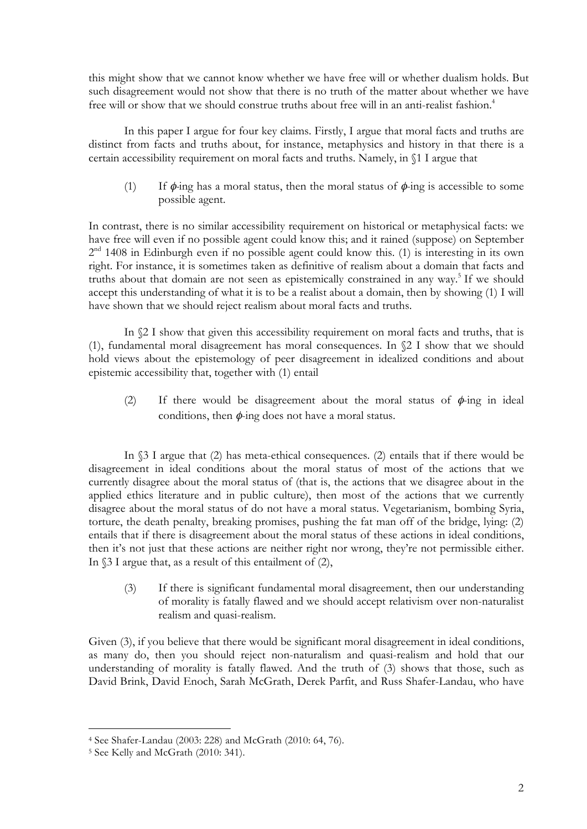this might show that we cannot know whether we have free will or whether dualism holds. But such disagreement would not show that there is no truth of the matter about whether we have free will or show that we should construe truths about free will in an anti-realist fashion. 4

In this paper I argue for four key claims. Firstly, I argue that moral facts and truths are distinct from facts and truths about, for instance, metaphysics and history in that there is a certain accessibility requirement on moral facts and truths. Namely, in §1 I argue that

(1) If  $\phi$ -ing has a moral status, then the moral status of  $\phi$ -ing is accessible to some possible agent.

In contrast, there is no similar accessibility requirement on historical or metaphysical facts: we have free will even if no possible agent could know this; and it rained (suppose) on September  $2<sup>nd</sup>$  1408 in Edinburgh even if no possible agent could know this. (1) is interesting in its own right. For instance, it is sometimes taken as definitive of realism about a domain that facts and truths about that domain are not seen as epistemically constrained in any way.<sup>5</sup> If we should accept this understanding of what it is to be a realist about a domain, then by showing (1) I will have shown that we should reject realism about moral facts and truths.

In  $\S$ 2 I show that given this accessibility requirement on moral facts and truths, that is (1), fundamental moral disagreement has moral consequences. In §2 I show that we should hold views about the epistemology of peer disagreement in idealized conditions and about epistemic accessibility that, together with (1) entail

(2) If there would be disagreement about the moral status of  $\phi$ -ing in ideal conditions, then  $\phi$ -ing does not have a moral status.

In §3 I argue that (2) has meta-ethical consequences. (2) entails that if there would be disagreement in ideal conditions about the moral status of most of the actions that we currently disagree about the moral status of (that is, the actions that we disagree about in the applied ethics literature and in public culture), then most of the actions that we currently disagree about the moral status of do not have a moral status. Vegetarianism, bombing Syria, torture, the death penalty, breaking promises, pushing the fat man off of the bridge, lying: (2) entails that if there is disagreement about the moral status of these actions in ideal conditions, then it's not just that these actions are neither right nor wrong, they're not permissible either. In §3 I argue that, as a result of this entailment of (2),

(3) If there is significant fundamental moral disagreement, then our understanding of morality is fatally flawed and we should accept relativism over non-naturalist realism and quasi-realism.

Given (3), if you believe that there would be significant moral disagreement in ideal conditions, as many do, then you should reject non-naturalism and quasi-realism and hold that our understanding of morality is fatally flawed. And the truth of (3) shows that those, such as David Brink, David Enoch, Sarah McGrath, Derek Parfit, and Russ Shafer-Landau, who have

 <sup>4</sup> See Shafer-Landau (2003: 228) and McGrath (2010: 64, 76).

<sup>5</sup> See Kelly and McGrath (2010: 341).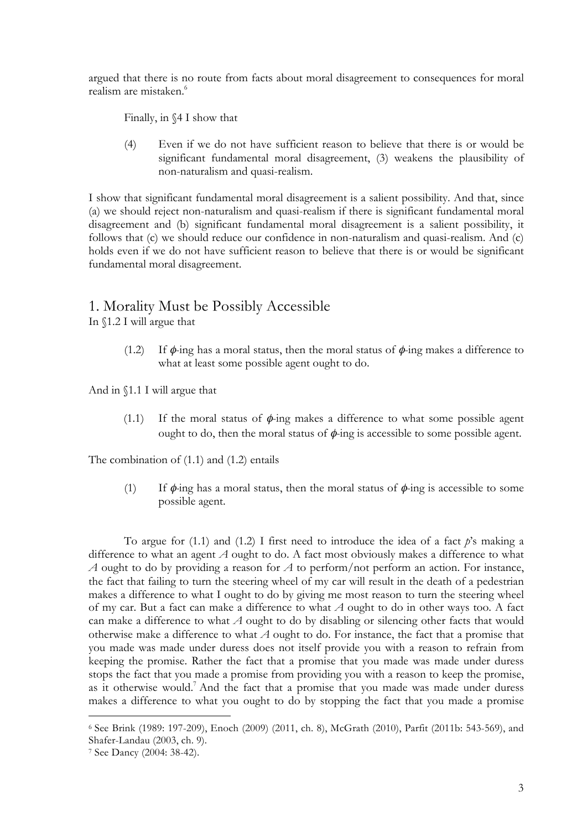argued that there is no route from facts about moral disagreement to consequences for moral realism are mistaken.<sup>6</sup>

Finally, in §4 I show that

(4) Even if we do not have sufficient reason to believe that there is or would be significant fundamental moral disagreement, (3) weakens the plausibility of non-naturalism and quasi-realism.

I show that significant fundamental moral disagreement is a salient possibility. And that, since (a) we should reject non-naturalism and quasi-realism if there is significant fundamental moral disagreement and (b) significant fundamental moral disagreement is a salient possibility, it follows that (c) we should reduce our confidence in non-naturalism and quasi-realism. And (c) holds even if we do not have sufficient reason to believe that there is or would be significant fundamental moral disagreement.

# 1. Morality Must be Possibly Accessible

In §1.2 I will argue that

(1.2) If  $\phi$ -ing has a moral status, then the moral status of  $\phi$ -ing makes a difference to what at least some possible agent ought to do.

And in §1.1 I will argue that

(1.1) If the moral status of  $\phi$ -ing makes a difference to what some possible agent ought to do, then the moral status of  $\phi$ -ing is accessible to some possible agent.

The combination of (1.1) and (1.2) entails

(1) If  $\phi$ -ing has a moral status, then the moral status of  $\phi$ -ing is accessible to some possible agent.

To argue for (1.1) and (1.2) I first need to introduce the idea of a fact *p*'s making a difference to what an agent *A* ought to do. A fact most obviously makes a difference to what *A* ought to do by providing a reason for *A* to perform/not perform an action. For instance, the fact that failing to turn the steering wheel of my car will result in the death of a pedestrian makes a difference to what I ought to do by giving me most reason to turn the steering wheel of my car. But a fact can make a difference to what *A* ought to do in other ways too. A fact can make a difference to what *A* ought to do by disabling or silencing other facts that would otherwise make a difference to what *A* ought to do. For instance, the fact that a promise that you made was made under duress does not itself provide you with a reason to refrain from keeping the promise. Rather the fact that a promise that you made was made under duress stops the fact that you made a promise from providing you with a reason to keep the promise, as it otherwise would.7 And the fact that a promise that you made was made under duress makes a difference to what you ought to do by stopping the fact that you made a promise

 <sup>6</sup> See Brink (1989: 197-209), Enoch (2009) (2011, ch. 8), McGrath (2010), Parfit (2011b: 543-569), and Shafer-Landau (2003, ch. 9).

<sup>7</sup> See Dancy (2004: 38-42).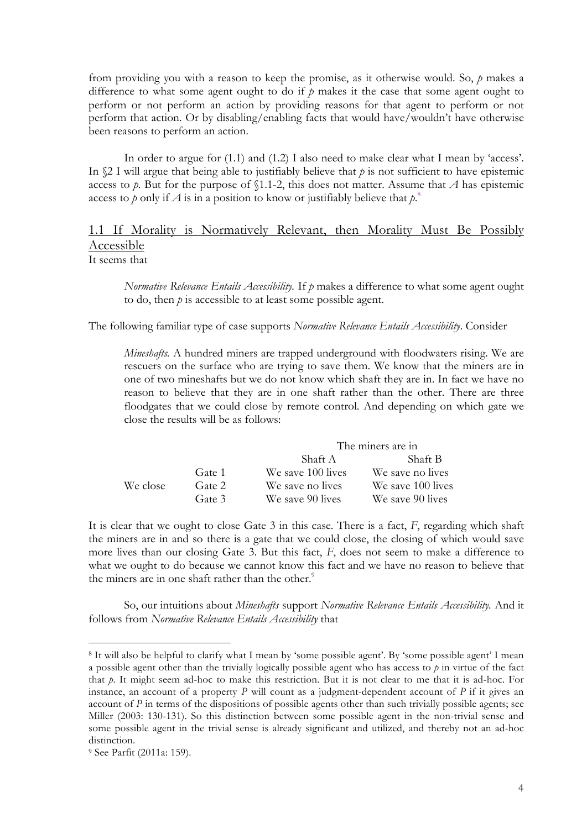from providing you with a reason to keep the promise, as it otherwise would. So, *p* makes a difference to what some agent ought to do if *p* makes it the case that some agent ought to perform or not perform an action by providing reasons for that agent to perform or not perform that action. Or by disabling/enabling facts that would have/wouldn't have otherwise been reasons to perform an action.

In order to argue for (1.1) and (1.2) I also need to make clear what I mean by 'access'. In  $\S$ 2 I will argue that being able to justifiably believe that *p* is not sufficient to have epistemic access to *p*. But for the purpose of §1.1-2, this does not matter. Assume that *A* has epistemic access to  $p$  only if  $A$  is in a position to know or justifiably believe that  $p^8$ .

# 1.1 If Morality is Normatively Relevant, then Morality Must Be Possibly Accessible

It seems that

*Normative Relevance Entails Accessibility.* If *p* makes a difference to what some agent ought to do, then *p* is accessible to at least some possible agent.

The following familiar type of case supports *Normative Relevance Entails Accessibility*. Consider

*Mineshafts.* A hundred miners are trapped underground with floodwaters rising. We are rescuers on the surface who are trying to save them. We know that the miners are in one of two mineshafts but we do not know which shaft they are in. In fact we have no reason to believe that they are in one shaft rather than the other. There are three floodgates that we could close by remote control. And depending on which gate we close the results will be as follows:

|          |        | The miners are in |                   |
|----------|--------|-------------------|-------------------|
|          |        | Shaft A           | Shaft B           |
|          | Gate 1 | We save 100 lives | We save no lives  |
| We close | Gate 2 | We save no lives  | We save 100 lives |
|          | Gate 3 | We save 90 lives  | We save 90 lives  |

It is clear that we ought to close Gate 3 in this case. There is a fact, *F*, regarding which shaft the miners are in and so there is a gate that we could close, the closing of which would save more lives than our closing Gate 3. But this fact, *F*, does not seem to make a difference to what we ought to do because we cannot know this fact and we have no reason to believe that the miners are in one shaft rather than the other.<sup>9</sup>

So, our intuitions about *Mineshafts* support *Normative Relevance Entails Accessibility.* And it follows from *Normative Relevance Entails Accessibility* that

 <sup>8</sup> It will also be helpful to clarify what I mean by 'some possible agent'. By 'some possible agent' I mean a possible agent other than the trivially logically possible agent who has access to *p* in virtue of the fact that *p*. It might seem ad-hoc to make this restriction. But it is not clear to me that it is ad-hoc. For instance, an account of a property *P* will count as a judgment-dependent account of *P* if it gives an account of *P* in terms of the dispositions of possible agents other than such trivially possible agents; see Miller (2003: 130-131). So this distinction between some possible agent in the non-trivial sense and some possible agent in the trivial sense is already significant and utilized, and thereby not an ad-hoc distinction.

<sup>9</sup> See Parfit (2011a: 159).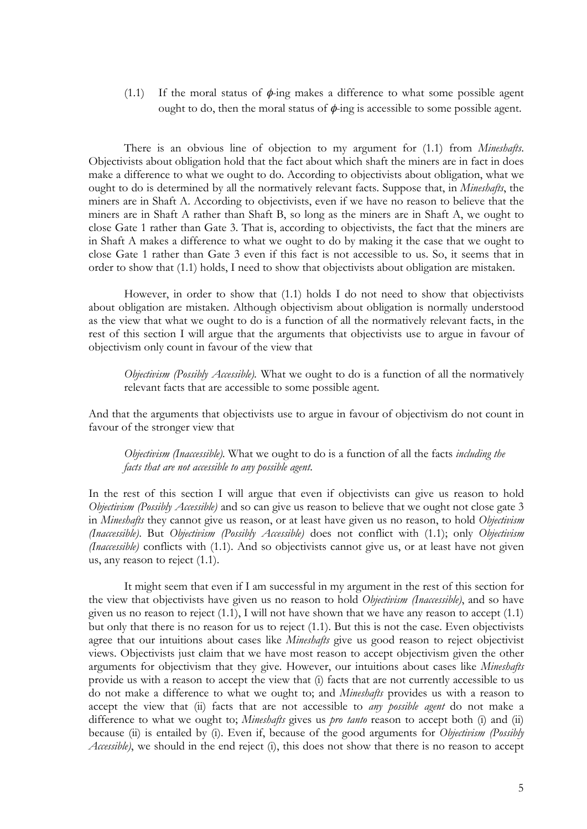(1.1) If the moral status of  $\phi$ -ing makes a difference to what some possible agent ought to do, then the moral status of  $\phi$ -ing is accessible to some possible agent.

There is an obvious line of objection to my argument for (1.1) from *Mineshafts*. Objectivists about obligation hold that the fact about which shaft the miners are in fact in does make a difference to what we ought to do. According to objectivists about obligation, what we ought to do is determined by all the normatively relevant facts. Suppose that, in *Mineshafts*, the miners are in Shaft A. According to objectivists, even if we have no reason to believe that the miners are in Shaft A rather than Shaft B, so long as the miners are in Shaft A, we ought to close Gate 1 rather than Gate 3. That is, according to objectivists, the fact that the miners are in Shaft A makes a difference to what we ought to do by making it the case that we ought to close Gate 1 rather than Gate 3 even if this fact is not accessible to us. So, it seems that in order to show that (1.1) holds, I need to show that objectivists about obligation are mistaken.

However, in order to show that (1.1) holds I do not need to show that objectivists about obligation are mistaken. Although objectivism about obligation is normally understood as the view that what we ought to do is a function of all the normatively relevant facts, in the rest of this section I will argue that the arguments that objectivists use to argue in favour of objectivism only count in favour of the view that

*Objectivism (Possibly Accessible).* What we ought to do is a function of all the normatively relevant facts that are accessible to some possible agent.

And that the arguments that objectivists use to argue in favour of objectivism do not count in favour of the stronger view that

*Objectivism (Inaccessible).* What we ought to do is a function of all the facts *including the facts that are not accessible to any possible agent*.

In the rest of this section I will argue that even if objectivists can give us reason to hold *Objectivism (Possibly Accessible)* and so can give us reason to believe that we ought not close gate 3 in *Mineshafts* they cannot give us reason, or at least have given us no reason, to hold *Objectivism (Inaccessible)*. But *Objectivism (Possibly Accessible)* does not conflict with (1.1); only *Objectivism (Inaccessible)* conflicts with (1.1). And so objectivists cannot give us, or at least have not given us, any reason to reject (1.1).

It might seem that even if I am successful in my argument in the rest of this section for the view that objectivists have given us no reason to hold *Objectivism (Inaccessible)*, and so have given us no reason to reject (1.1), I will not have shown that we have any reason to accept (1.1) but only that there is no reason for us to reject (1.1). But this is not the case. Even objectivists agree that our intuitions about cases like *Mineshafts* give us good reason to reject objectivist views. Objectivists just claim that we have most reason to accept objectivism given the other arguments for objectivism that they give. However, our intuitions about cases like *Mineshafts*  provide us with a reason to accept the view that (i) facts that are not currently accessible to us do not make a difference to what we ought to; and *Mineshafts* provides us with a reason to accept the view that (ii) facts that are not accessible to *any possible agent* do not make a difference to what we ought to; *Mineshafts* gives us *pro tanto* reason to accept both (i) and (ii) because (ii) is entailed by (i). Even if, because of the good arguments for *Objectivism (Possibly Accessible*), we should in the end reject (i), this does not show that there is no reason to accept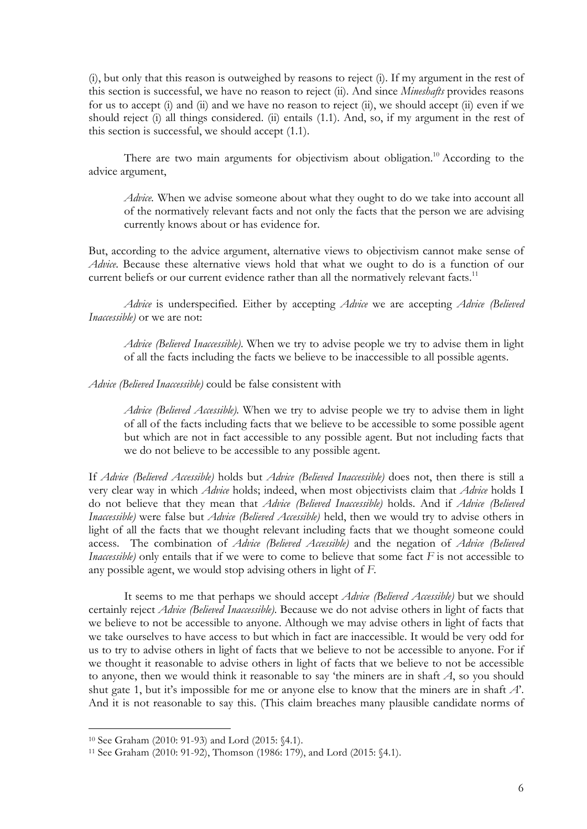(i), but only that this reason is outweighed by reasons to reject (i). If my argument in the rest of this section is successful, we have no reason to reject (ii). And since *Mineshafts* provides reasons for us to accept (i) and (ii) and we have no reason to reject (ii), we should accept (ii) even if we should reject (i) all things considered. (ii) entails (1.1). And, so, if my argument in the rest of this section is successful, we should accept (1.1).

There are two main arguments for objectivism about obligation.<sup>10</sup> According to the advice argument,

*Advice.* When we advise someone about what they ought to do we take into account all of the normatively relevant facts and not only the facts that the person we are advising currently knows about or has evidence for.

But, according to the advice argument, alternative views to objectivism cannot make sense of *Advice*. Because these alternative views hold that what we ought to do is a function of our current beliefs or our current evidence rather than all the normatively relevant facts.<sup>11</sup>

*Advice* is underspecified. Either by accepting *Advice* we are accepting *Advice (Believed Inaccessible)* or we are not:

*Advice (Believed Inaccessible)*. When we try to advise people we try to advise them in light of all the facts including the facts we believe to be inaccessible to all possible agents.

*Advice (Believed Inaccessible)* could be false consistent with

*Advice (Believed Accessible).* When we try to advise people we try to advise them in light of all of the facts including facts that we believe to be accessible to some possible agent but which are not in fact accessible to any possible agent. But not including facts that we do not believe to be accessible to any possible agent.

If *Advice (Believed Accessible)* holds but *Advice (Believed Inaccessible)* does not, then there is still a very clear way in which *Advice* holds; indeed, when most objectivists claim that *Advice* holds I do not believe that they mean that *Advice (Believed Inaccessible)* holds. And if *Advice (Believed Inaccessible)* were false but *Advice (Believed Accessible)* held, then we would try to advise others in light of all the facts that we thought relevant including facts that we thought someone could access. The combination of *Advice (Believed Accessible)* and the negation of *Advice (Believed Inaccessible)* only entails that if we were to come to believe that some fact *F* is not accessible to any possible agent, we would stop advising others in light of *F*.

It seems to me that perhaps we should accept *Advice (Believed Accessible)* but we should certainly reject *Advice (Believed Inaccessible)*. Because we do not advise others in light of facts that we believe to not be accessible to anyone. Although we may advise others in light of facts that we take ourselves to have access to but which in fact are inaccessible. It would be very odd for us to try to advise others in light of facts that we believe to not be accessible to anyone. For if we thought it reasonable to advise others in light of facts that we believe to not be accessible to anyone, then we would think it reasonable to say 'the miners are in shaft *A*, so you should shut gate 1, but it's impossible for me or anyone else to know that the miners are in shaft *A*'. And it is not reasonable to say this. (This claim breaches many plausible candidate norms of

 <sup>10</sup> See Graham (2010: 91-93) and Lord (2015: §4.1).

<sup>11</sup> See Graham (2010: 91-92), Thomson (1986: 179), and Lord (2015: §4.1).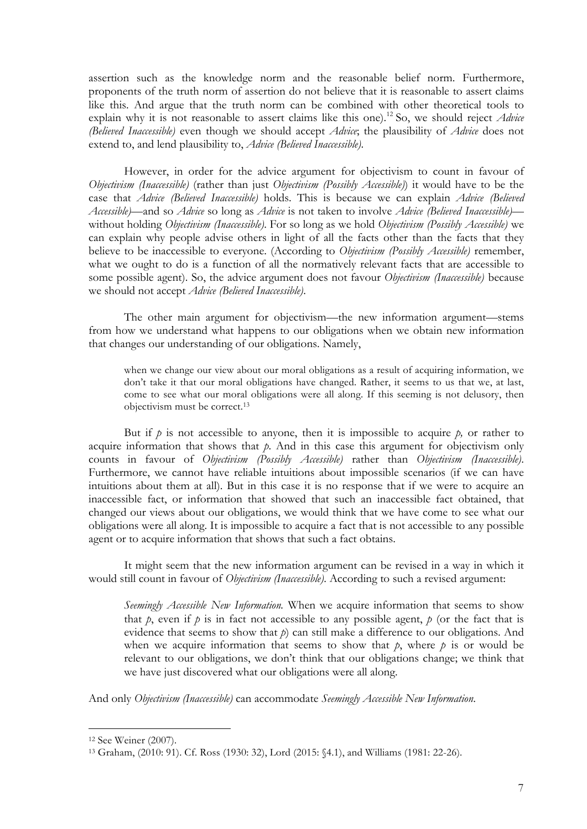assertion such as the knowledge norm and the reasonable belief norm. Furthermore, proponents of the truth norm of assertion do not believe that it is reasonable to assert claims like this. And argue that the truth norm can be combined with other theoretical tools to explain why it is not reasonable to assert claims like this one).<sup>12</sup> So, we should reject *Advice (Believed Inaccessible)* even though we should accept *Advice*; the plausibility of *Advice* does not extend to, and lend plausibility to, *Advice (Believed Inaccessible)*.

However, in order for the advice argument for objectivism to count in favour of *Objectivism (Inaccessible)* (rather than just *Objectivism (Possibly Accessible)*) it would have to be the case that *Advice (Believed Inaccessible)* holds. This is because we can explain *Advice (Believed Accessible)*—and so *Advice* so long as *Advice* is not taken to involve *Advice (Believed Inaccessible)* without holding *Objectivism (Inaccessible)*. For so long as we hold *Objectivism (Possibly Accessible)* we can explain why people advise others in light of all the facts other than the facts that they believe to be inaccessible to everyone. (According to *Objectivism (Possibly Accessible)* remember, what we ought to do is a function of all the normatively relevant facts that are accessible to some possible agent). So, the advice argument does not favour *Objectivism (Inaccessible)* because we should not accept *Advice (Believed Inaccessible)*.

The other main argument for objectivism—the new information argument*—*stems from how we understand what happens to our obligations when we obtain new information that changes our understanding of our obligations. Namely,

when we change our view about our moral obligations as a result of acquiring information, we don't take it that our moral obligations have changed. Rather, it seems to us that we, at last, come to see what our moral obligations were all along. If this seeming is not delusory, then objectivism must be correct.13

But if  $p$  is not accessible to anyone, then it is impossible to acquire  $p$ , or rather to acquire information that shows that *p*. And in this case this argument for objectivism only counts in favour of *Objectivism (Possibly Accessible)* rather than *Objectivism (Inaccessible)*. Furthermore, we cannot have reliable intuitions about impossible scenarios (if we can have intuitions about them at all). But in this case it is no response that if we were to acquire an inaccessible fact, or information that showed that such an inaccessible fact obtained, that changed our views about our obligations, we would think that we have come to see what our obligations were all along. It is impossible to acquire a fact that is not accessible to any possible agent or to acquire information that shows that such a fact obtains.

It might seem that the new information argument can be revised in a way in which it would still count in favour of *Objectivism (Inaccessible)*. According to such a revised argument:

*Seemingly Accessible New Information.* When we acquire information that seems to show that  $p$ , even if  $p$  is in fact not accessible to any possible agent,  $p$  (or the fact that is evidence that seems to show that *p*) can still make a difference to our obligations. And when we acquire information that seems to show that  $p$ , where  $p$  is or would be relevant to our obligations, we don't think that our obligations change; we think that we have just discovered what our obligations were all along.

And only *Objectivism (Inaccessible)* can accommodate *Seemingly Accessible New Information*.

 <sup>12</sup> See Weiner (2007).

<sup>13</sup> Graham, (2010: 91). Cf. Ross (1930: 32), Lord (2015: §4.1), and Williams (1981: 22-26).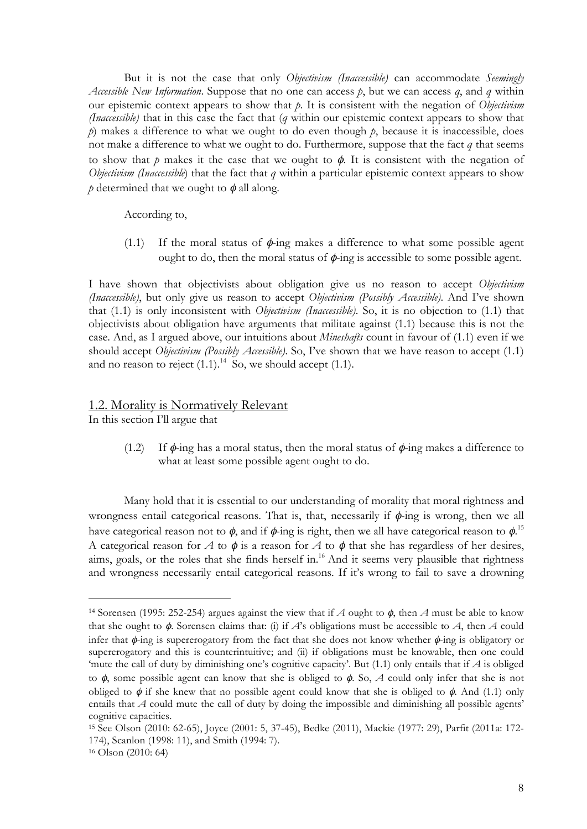But it is not the case that only *Objectivism (Inaccessible)* can accommodate *Seemingly Accessible New Information*. Suppose that no one can access *p*, but we can access *q*, and *q* within our epistemic context appears to show that *p*. It is consistent with the negation of *Objectivism (Inaccessible)* that in this case the fact that (*q* within our epistemic context appears to show that *p*) makes a difference to what we ought to do even though *p*, because it is inaccessible, does not make a difference to what we ought to do. Furthermore, suppose that the fact *q* that seems to show that *p* makes it the case that we ought to  $\phi$ . It is consistent with the negation of *Objectivism (Inaccessible*) that the fact that *q* within a particular epistemic context appears to show  *determined that we ought to*  $*φ*$  *all along.* 

According to,

(1.1) If the moral status of  $\phi$ -ing makes a difference to what some possible agent ought to do, then the moral status of  $\phi$ -ing is accessible to some possible agent.

I have shown that objectivists about obligation give us no reason to accept *Objectivism (Inaccessible)*, but only give us reason to accept *Objectivism (Possibly Accessible)*. And I've shown that (1.1) is only inconsistent with *Objectivism (Inaccessible)*. So, it is no objection to (1.1) that objectivists about obligation have arguments that militate against (1.1) because this is not the case. And, as I argued above, our intuitions about *Mineshafts* count in favour of (1.1) even if we should accept *Objectivism (Possibly Accessible)*. So, I've shown that we have reason to accept (1.1) and no reason to reject  $(1.1)$ .<sup>14</sup> So, we should accept  $(1.1)$ .

### 1.2. Morality is Normatively Relevant

In this section I'll argue that

(1.2) If  $\phi$ -ing has a moral status, then the moral status of  $\phi$ -ing makes a difference to what at least some possible agent ought to do.

Many hold that it is essential to our understanding of morality that moral rightness and wrongness entail categorical reasons. That is, that, necessarily if  $\phi$ -ing is wrong, then we all have categorical reason not to  $\phi$ , and if  $\phi$ -ing is right, then we all have categorical reason to  $\phi$ .<sup>15</sup> A categorical reason for *A* to  $\phi$  is a reason for *A* to  $\phi$  that she has regardless of her desires, aims, goals, or the roles that she finds herself in.<sup>16</sup> And it seems very plausible that rightness and wrongness necessarily entail categorical reasons. If it's wrong to fail to save a drowning

 $\overline{a}$ 

<sup>14</sup> Sorensen (1995: 252-254) argues against the view that if *A* ought to φ, then *A* must be able to know that she ought to φ. Sorensen claims that: (i) if *A*'s obligations must be accessible to *A*, then *A* could infer that  $\phi$ -ing is supererogatory from the fact that she does not know whether  $\phi$ -ing is obligatory or supererogatory and this is counterintuitive; and (ii) if obligations must be knowable, then one could 'mute the call of duty by diminishing one's cognitive capacity'. But (1.1) only entails that if *A* is obliged to  $\phi$ , some possible agent can know that she is obliged to  $\phi$ . So, *A* could only infer that she is not obliged to  $\phi$  if she knew that no possible agent could know that she is obliged to  $\phi$ . And (1.1) only entails that *A* could mute the call of duty by doing the impossible and diminishing all possible agents' cognitive capacities.

<sup>15</sup> See Olson (2010: 62-65), Joyce (2001: 5, 37-45), Bedke (2011), Mackie (1977: 29), Parfit (2011a: 172- 174), Scanlon (1998: 11), and Smith (1994: 7).

<sup>16</sup> Olson (2010: 64)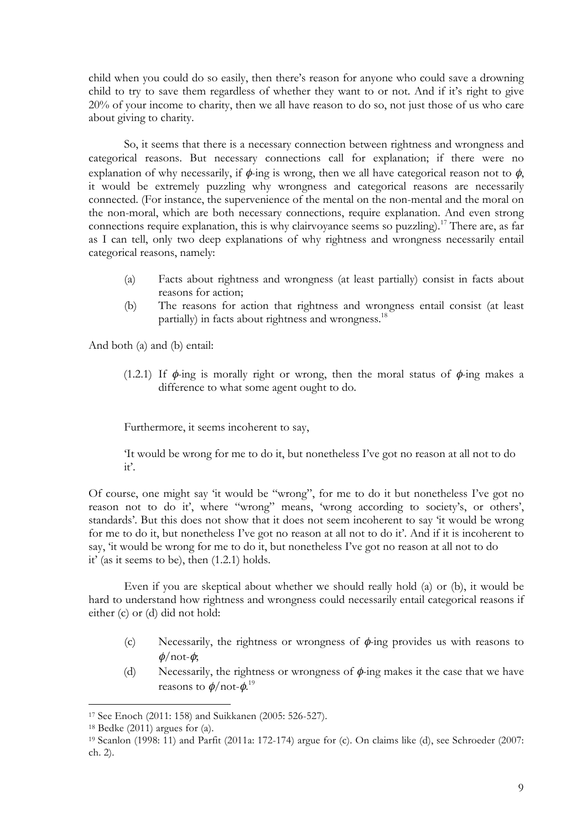child when you could do so easily, then there's reason for anyone who could save a drowning child to try to save them regardless of whether they want to or not. And if it's right to give 20% of your income to charity, then we all have reason to do so, not just those of us who care about giving to charity.

So, it seems that there is a necessary connection between rightness and wrongness and categorical reasons. But necessary connections call for explanation; if there were no explanation of why necessarily, if  $\phi$ -ing is wrong, then we all have categorical reason not to  $\phi$ , it would be extremely puzzling why wrongness and categorical reasons are necessarily connected. (For instance, the supervenience of the mental on the non-mental and the moral on the non-moral, which are both necessary connections, require explanation. And even strong connections require explanation, this is why clairvoyance seems so puzzling).17 There are, as far as I can tell, only two deep explanations of why rightness and wrongness necessarily entail categorical reasons, namely:

- (a) Facts about rightness and wrongness (at least partially) consist in facts about reasons for action;
- (b) The reasons for action that rightness and wrongness entail consist (at least partially) in facts about rightness and wrongness.<sup>18</sup>

And both (a) and (b) entail:

(1.2.1) If  $\phi$ -ing is morally right or wrong, then the moral status of  $\phi$ -ing makes a difference to what some agent ought to do.

Furthermore, it seems incoherent to say,

'It would be wrong for me to do it, but nonetheless I've got no reason at all not to do it'.

Of course, one might say 'it would be "wrong", for me to do it but nonetheless I've got no reason not to do it', where "wrong" means, 'wrong according to society's, or others', standards'. But this does not show that it does not seem incoherent to say 'it would be wrong for me to do it, but nonetheless I've got no reason at all not to do it'. And if it is incoherent to say, 'it would be wrong for me to do it, but nonetheless I've got no reason at all not to do it' (as it seems to be), then (1.2.1) holds.

Even if you are skeptical about whether we should really hold (a) or (b), it would be hard to understand how rightness and wrongness could necessarily entail categorical reasons if either (c) or (d) did not hold:

- (c) Necessarily, the rightness or wrongness of  $\phi$ -ing provides us with reasons to  $\phi$ /not- $\phi$ ;
- (d) Necessarily, the rightness or wrongness of  $\phi$ -ing makes it the case that we have reasons to  $\phi/\text{not-}\phi$ .<sup>19</sup>

 <sup>17</sup> See Enoch (2011: 158) and Suikkanen (2005: 526-527).

 $18$  Bedke (2011) argues for (a).

<sup>19</sup> Scanlon (1998: 11) and Parfit (2011a: 172-174) argue for (c). On claims like (d), see Schroeder (2007: ch. 2).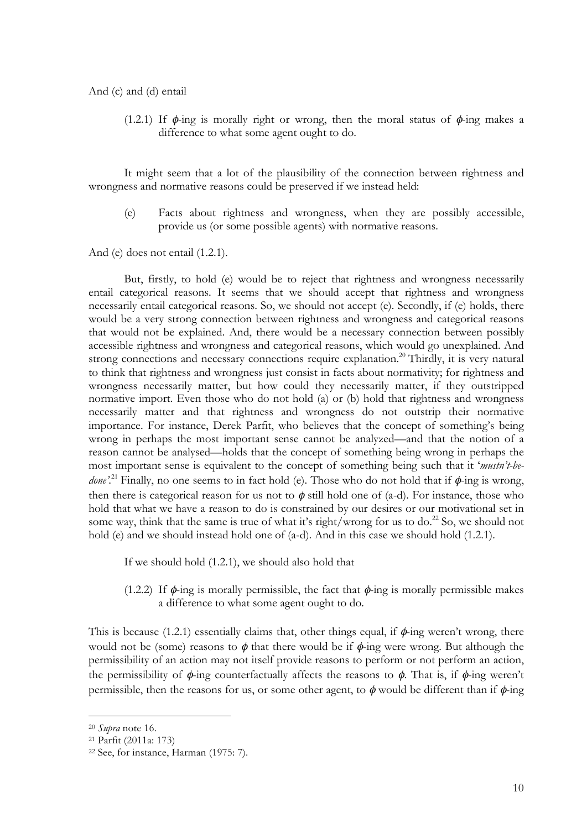And (c) and (d) entail

(1.2.1) If  $\phi$ -ing is morally right or wrong, then the moral status of  $\phi$ -ing makes a difference to what some agent ought to do.

It might seem that a lot of the plausibility of the connection between rightness and wrongness and normative reasons could be preserved if we instead held:

(e) Facts about rightness and wrongness, when they are possibly accessible, provide us (or some possible agents) with normative reasons.

And (e) does not entail (1.2.1).

But, firstly, to hold (e) would be to reject that rightness and wrongness necessarily entail categorical reasons. It seems that we should accept that rightness and wrongness necessarily entail categorical reasons. So, we should not accept (e). Secondly, if (e) holds, there would be a very strong connection between rightness and wrongness and categorical reasons that would not be explained. And, there would be a necessary connection between possibly accessible rightness and wrongness and categorical reasons, which would go unexplained. And strong connections and necessary connections require explanation.<sup>20</sup> Thirdly, it is very natural to think that rightness and wrongness just consist in facts about normativity; for rightness and wrongness necessarily matter, but how could they necessarily matter, if they outstripped normative import. Even those who do not hold (a) or (b) hold that rightness and wrongness necessarily matter and that rightness and wrongness do not outstrip their normative importance. For instance, Derek Parfit, who believes that the concept of something's being wrong in perhaps the most important sense cannot be analyzed—and that the notion of a reason cannot be analysed—holds that the concept of something being wrong in perhaps the most important sense is equivalent to the concept of something being such that it '*mustn't-bedone'*. <sup>21</sup> Finally, no one seems to in fact hold (e). Those who do not hold that if φ-ing is wrong, then there is categorical reason for us not to  $\phi$  still hold one of (a-d). For instance, those who hold that what we have a reason to do is constrained by our desires or our motivational set in some way, think that the same is true of what it's right/wrong for us to do.<sup>22</sup> So, we should not hold (e) and we should instead hold one of (a-d). And in this case we should hold (1.2.1).

If we should hold (1.2.1), we should also hold that

(1.2.2) If  $\phi$ -ing is morally permissible, the fact that  $\phi$ -ing is morally permissible makes a difference to what some agent ought to do.

This is because (1.2.1) essentially claims that, other things equal, if  $\phi$ -ing weren't wrong, there would not be (some) reasons to  $\phi$  that there would be if  $\phi$ -ing were wrong. But although the permissibility of an action may not itself provide reasons to perform or not perform an action, the permissibility of  $\phi$ -ing counterfactually affects the reasons to  $\phi$ . That is, if  $\phi$ -ing weren't permissible, then the reasons for us, or some other agent, to  $\phi$  would be different than if  $\phi$ -ing

 <sup>20</sup> *Supra* note 16.

<sup>21</sup> Parfit (2011a: 173)

<sup>22</sup> See, for instance, Harman (1975: 7).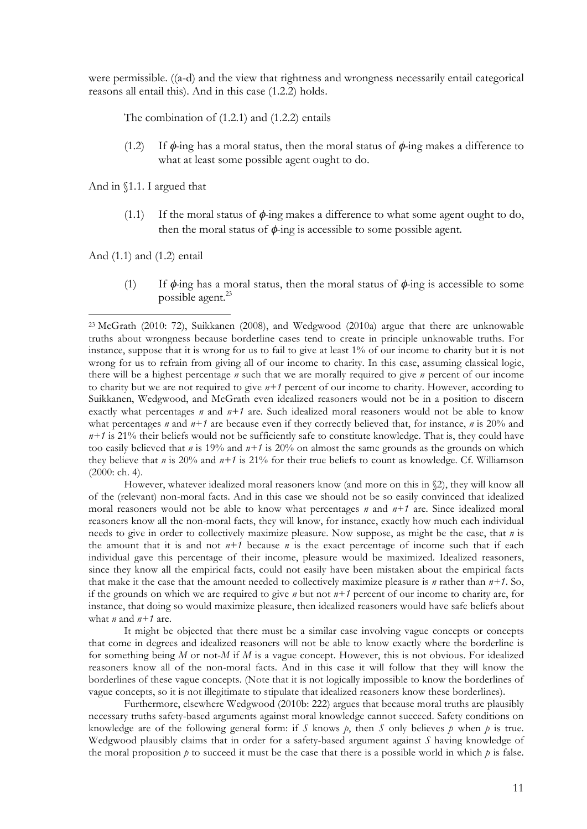were permissible. ((a-d) and the view that rightness and wrongness necessarily entail categorical reasons all entail this). And in this case (1.2.2) holds.

The combination of (1.2.1) and (1.2.2) entails

(1.2) If  $\phi$ -ing has a moral status, then the moral status of  $\phi$ -ing makes a difference to what at least some possible agent ought to do.

And in §1.1. I argued that

(1.1) If the moral status of  $\phi$ -ing makes a difference to what some agent ought to do, then the moral status of  $\phi$ -ing is accessible to some possible agent.

And (1.1) and (1.2) entail

(1) If φ*-*ing has a moral status, then the moral status of φ-ing is accessible to some possible agent. 23

However, whatever idealized moral reasoners know (and more on this in §2), they will know all of the (relevant) non-moral facts. And in this case we should not be so easily convinced that idealized moral reasoners would not be able to know what percentages *n* and *n+1* are. Since idealized moral reasoners know all the non-moral facts, they will know, for instance, exactly how much each individual needs to give in order to collectively maximize pleasure. Now suppose, as might be the case, that *n* is the amount that it is and not *n+1* because *n* is the exact percentage of income such that if each individual gave this percentage of their income, pleasure would be maximized. Idealized reasoners, since they know all the empirical facts, could not easily have been mistaken about the empirical facts that make it the case that the amount needed to collectively maximize pleasure is *n* rather than *n+1*. So, if the grounds on which we are required to give *n* but not *n+1* percent of our income to charity are, for instance, that doing so would maximize pleasure, then idealized reasoners would have safe beliefs about what *n* and *n+1* are.

It might be objected that there must be a similar case involving vague concepts or concepts that come in degrees and idealized reasoners will not be able to know exactly where the borderline is for something being *M* or not-*M* if *M* is a vague concept. However, this is not obvious. For idealized reasoners know all of the non-moral facts. And in this case it will follow that they will know the borderlines of these vague concepts. (Note that it is not logically impossible to know the borderlines of vague concepts, so it is not illegitimate to stipulate that idealized reasoners know these borderlines).

Furthermore, elsewhere Wedgwood (2010b: 222) argues that because moral truths are plausibly necessary truths safety-based arguments against moral knowledge cannot succeed. Safety conditions on knowledge are of the following general form: if *S* knows  $p$ , then *S* only believes  $p$  when  $p$  is true. Wedgwood plausibly claims that in order for a safety-based argument against *S* having knowledge of the moral proposition  $p$  to succeed it must be the case that there is a possible world in which  $p$  is false.

 <sup>23</sup> McGrath (2010: 72), Suikkanen (2008), and Wedgwood (2010a) argue that there are unknowable truths about wrongness because borderline cases tend to create in principle unknowable truths. For instance, suppose that it is wrong for us to fail to give at least 1% of our income to charity but it is not wrong for us to refrain from giving all of our income to charity. In this case, assuming classical logic, there will be a highest percentage *n* such that we are morally required to give *n* percent of our income to charity but we are not required to give *n+1* percent of our income to charity. However, according to Suikkanen, Wedgwood, and McGrath even idealized reasoners would not be in a position to discern exactly what percentages *n* and  $n+1$  are. Such idealized moral reasoners would not be able to know what percentages *n* and  $n+1$  are because even if they correctly believed that, for instance, *n* is 20% and  $n+1$  is 21% their beliefs would not be sufficiently safe to constitute knowledge. That is, they could have too easily believed that *n* is 19% and  $n+1$  is 20% on almost the same grounds as the grounds on which they believe that *n* is 20% and  $n+1$  is 21% for their true beliefs to count as knowledge. Cf. Williamson (2000: ch. 4).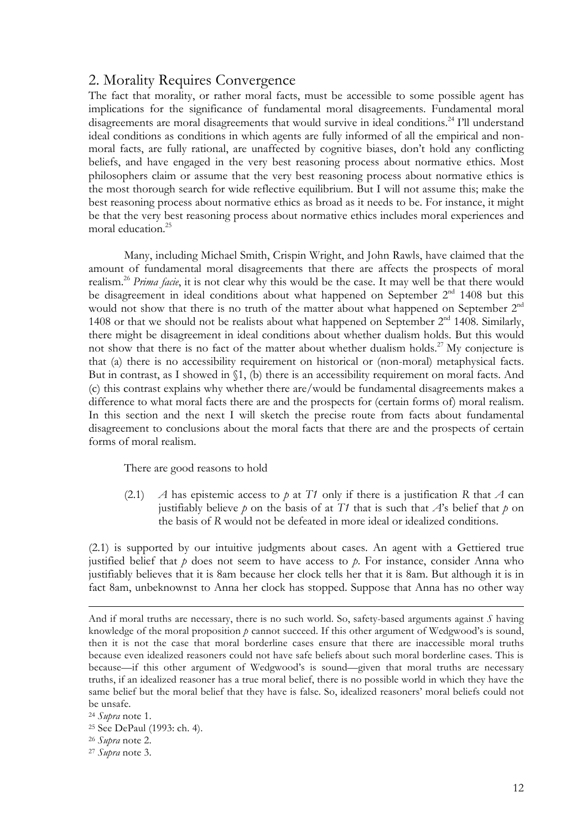# 2. Morality Requires Convergence

The fact that morality, or rather moral facts, must be accessible to some possible agent has implications for the significance of fundamental moral disagreements. Fundamental moral disagreements are moral disagreements that would survive in ideal conditions.<sup>24</sup> I'll understand ideal conditions as conditions in which agents are fully informed of all the empirical and nonmoral facts, are fully rational, are unaffected by cognitive biases, don't hold any conflicting beliefs, and have engaged in the very best reasoning process about normative ethics. Most philosophers claim or assume that the very best reasoning process about normative ethics is the most thorough search for wide reflective equilibrium. But I will not assume this; make the best reasoning process about normative ethics as broad as it needs to be. For instance, it might be that the very best reasoning process about normative ethics includes moral experiences and moral education.<sup>25</sup>

Many, including Michael Smith, Crispin Wright, and John Rawls, have claimed that the amount of fundamental moral disagreements that there are affects the prospects of moral realism.26 *Prima facie*, it is not clear why this would be the case. It may well be that there would be disagreement in ideal conditions about what happened on September 2<sup>nd</sup> 1408 but this would not show that there is no truth of the matter about what happened on September 2<sup>nd</sup> 1408 or that we should not be realists about what happened on September 2<sup>nd</sup> 1408. Similarly, there might be disagreement in ideal conditions about whether dualism holds. But this would not show that there is no fact of the matter about whether dualism holds.<sup>27</sup> My conjecture is that (a) there is no accessibility requirement on historical or (non-moral) metaphysical facts. But in contrast, as I showed in  $\S$ 1, (b) there is an accessibility requirement on moral facts. And (c) this contrast explains why whether there are/would be fundamental disagreements makes a difference to what moral facts there are and the prospects for (certain forms of) moral realism. In this section and the next I will sketch the precise route from facts about fundamental disagreement to conclusions about the moral facts that there are and the prospects of certain forms of moral realism.

There are good reasons to hold

(2.1) *A* has epistemic access to *p* at *T1* only if there is a justification *R* that *A* can justifiably believe *p* on the basis of at *T1* that is such that *A*'s belief that *p* on the basis of *R* would not be defeated in more ideal or idealized conditions.

(2.1) is supported by our intuitive judgments about cases. An agent with a Gettiered true justified belief that *p* does not seem to have access to *p*. For instance, consider Anna who justifiably believes that it is 8am because her clock tells her that it is 8am. But although it is in fact 8am, unbeknownst to Anna her clock has stopped. Suppose that Anna has no other way

 $\overline{a}$ 

<sup>25</sup> See DePaul (1993: ch. 4).

And if moral truths are necessary, there is no such world. So, safety-based arguments against *S* having knowledge of the moral proposition *p* cannot succeed. If this other argument of Wedgwood's is sound, then it is not the case that moral borderline cases ensure that there are inaccessible moral truths because even idealized reasoners could not have safe beliefs about such moral borderline cases. This is because—if this other argument of Wedgwood's is sound—given that moral truths are necessary truths, if an idealized reasoner has a true moral belief, there is no possible world in which they have the same belief but the moral belief that they have is false. So, idealized reasoners' moral beliefs could not be unsafe.

<sup>24</sup> *Supra* note 1.

<sup>26</sup> *Supra* note 2.

<sup>27</sup> *Supra* note 3.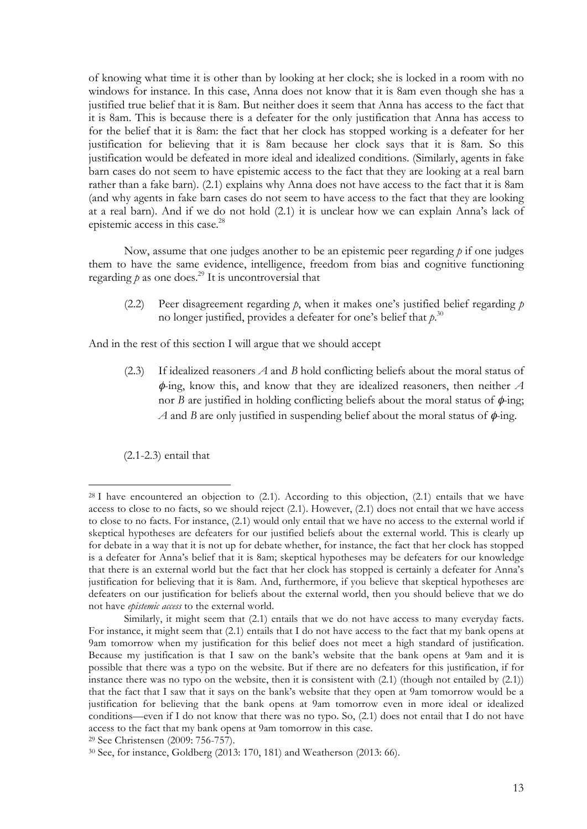of knowing what time it is other than by looking at her clock; she is locked in a room with no windows for instance. In this case, Anna does not know that it is 8am even though she has a justified true belief that it is 8am. But neither does it seem that Anna has access to the fact that it is 8am. This is because there is a defeater for the only justification that Anna has access to for the belief that it is 8am: the fact that her clock has stopped working is a defeater for her justification for believing that it is 8am because her clock says that it is 8am. So this justification would be defeated in more ideal and idealized conditions. (Similarly, agents in fake barn cases do not seem to have epistemic access to the fact that they are looking at a real barn rather than a fake barn). (2.1) explains why Anna does not have access to the fact that it is 8am (and why agents in fake barn cases do not seem to have access to the fact that they are looking at a real barn). And if we do not hold (2.1) it is unclear how we can explain Anna's lack of epistemic access in this case.<sup>28</sup>

Now, assume that one judges another to be an epistemic peer regarding *p* if one judges them to have the same evidence, intelligence, freedom from bias and cognitive functioning regarding  $p$  as one does.<sup>29</sup> It is uncontroversial that

(2.2) Peer disagreement regarding *p*, when it makes one's justified belief regarding *p* no longer justified, provides a defeater for one's belief that *p*. 30

And in the rest of this section I will argue that we should accept

(2.3) If idealized reasoners *A* and *B* hold conflicting beliefs about the moral status of φ-ing, know this, and know that they are idealized reasoners, then neither *A* nor *B* are justified in holding conflicting beliefs about the moral status of  $\phi$ -ing; *A* and *B* are only justified in suspending belief about the moral status of φ-ing.

(2.1-2.3) entail that

 <sup>28</sup> I have encountered an objection to (2.1). According to this objection, (2.1) entails that we have access to close to no facts, so we should reject (2.1). However, (2.1) does not entail that we have access to close to no facts. For instance, (2.1) would only entail that we have no access to the external world if skeptical hypotheses are defeaters for our justified beliefs about the external world. This is clearly up for debate in a way that it is not up for debate whether, for instance, the fact that her clock has stopped is a defeater for Anna's belief that it is 8am; skeptical hypotheses may be defeaters for our knowledge that there is an external world but the fact that her clock has stopped is certainly a defeater for Anna's justification for believing that it is 8am. And, furthermore, if you believe that skeptical hypotheses are defeaters on our justification for beliefs about the external world, then you should believe that we do not have *epistemic access* to the external world.

Similarly, it might seem that (2.1) entails that we do not have access to many everyday facts. For instance, it might seem that (2.1) entails that I do not have access to the fact that my bank opens at 9am tomorrow when my justification for this belief does not meet a high standard of justification. Because my justification is that I saw on the bank's website that the bank opens at 9am and it is possible that there was a typo on the website. But if there are no defeaters for this justification, if for instance there was no typo on the website, then it is consistent with  $(2.1)$  (though not entailed by  $(2.1)$ ) that the fact that I saw that it says on the bank's website that they open at 9am tomorrow would be a justification for believing that the bank opens at 9am tomorrow even in more ideal or idealized conditions—even if I do not know that there was no typo. So, (2.1) does not entail that I do not have access to the fact that my bank opens at 9am tomorrow in this case.

<sup>29</sup> See Christensen (2009: 756-757).

<sup>30</sup> See, for instance, Goldberg (2013: 170, 181) and Weatherson (2013: 66).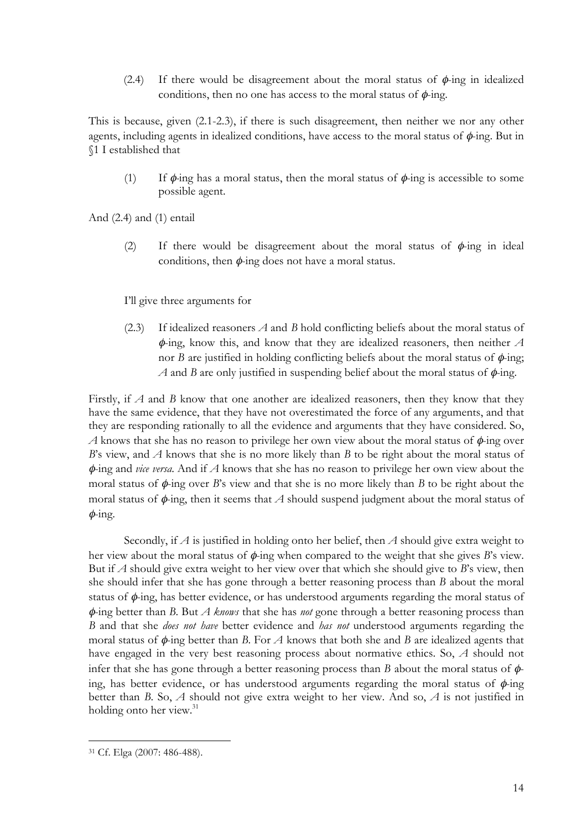(2.4) If there would be disagreement about the moral status of  $\phi$ -ing in idealized conditions, then no one has access to the moral status of  $\phi$ -ing.

This is because, given (2.1-2.3), if there is such disagreement, then neither we nor any other agents, including agents in idealized conditions, have access to the moral status of  $\phi$ -ing. But in §1 I established that

(1) If  $\phi$ -ing has a moral status, then the moral status of  $\phi$ -ing is accessible to some possible agent.

And (2.4) and (1) entail

(2) If there would be disagreement about the moral status of  $\phi$ -ing in ideal conditions, then  $\phi$ -ing does not have a moral status.

I'll give three arguments for

(2.3) If idealized reasoners *A* and *B* hold conflicting beliefs about the moral status of φ-ing, know this, and know that they are idealized reasoners, then neither *A* nor *B* are justified in holding conflicting beliefs about the moral status of  $\phi$ -ing; *A* and *B* are only justified in suspending belief about the moral status of φ-ing.

Firstly, if *A* and *B* know that one another are idealized reasoners, then they know that they have the same evidence, that they have not overestimated the force of any arguments, and that they are responding rationally to all the evidence and arguments that they have considered. So, *A* knows that she has no reason to privilege her own view about the moral status of  $\phi$ -ing over *B*'s view, and *A* knows that she is no more likely than *B* to be right about the moral status of φ-ing and *vice versa*. And if *A* knows that she has no reason to privilege her own view about the moral status of φ-ing over *B*'s view and that she is no more likely than *B* to be right about the moral status of  $\phi$ -ing, then it seems that *A* should suspend judgment about the moral status of  $\phi$ -ing.

Secondly, if *A* is justified in holding onto her belief, then *A* should give extra weight to her view about the moral status of φ-ing when compared to the weight that she gives *B*'s view. But if *A* should give extra weight to her view over that which she should give to *B*'s view, then she should infer that she has gone through a better reasoning process than *B* about the moral status of  $\phi$ -ing, has better evidence, or has understood arguments regarding the moral status of φ-ing better than *B*. But *A knows* that she has *not* gone through a better reasoning process than *B* and that she *does not have* better evidence and *has not* understood arguments regarding the moral status of φ-ing better than *B*. For *A* knows that both she and *B* are idealized agents that have engaged in the very best reasoning process about normative ethics. So, *A* should not infer that she has gone through a better reasoning process than *B* about the moral status of φing, has better evidence, or has understood arguments regarding the moral status of  $\phi$ -ing better than *B*. So, *A* should not give extra weight to her view. And so, *A* is not justified in holding onto her view.<sup>31</sup>

 <sup>31</sup> Cf. Elga (2007: 486-488).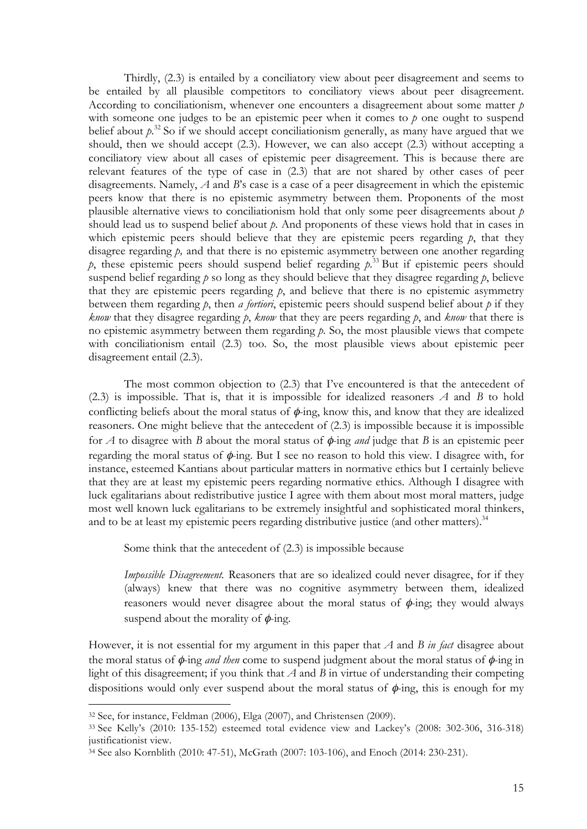Thirdly, (2.3) is entailed by a conciliatory view about peer disagreement and seems to be entailed by all plausible competitors to conciliatory views about peer disagreement. According to conciliationism, whenever one encounters a disagreement about some matter *p* with someone one judges to be an epistemic peer when it comes to *p* one ought to suspend belief about  $p^{32}$  So if we should accept conciliationism generally, as many have argued that we should, then we should accept (2.3). However, we can also accept (2.3) without accepting a conciliatory view about all cases of epistemic peer disagreement. This is because there are relevant features of the type of case in (2.3) that are not shared by other cases of peer disagreements. Namely, *A* and *B*'s case is a case of a peer disagreement in which the epistemic peers know that there is no epistemic asymmetry between them. Proponents of the most plausible alternative views to conciliationism hold that only some peer disagreements about *p* should lead us to suspend belief about *p*. And proponents of these views hold that in cases in which epistemic peers should believe that they are epistemic peers regarding  $p$ , that they disagree regarding *p,* and that there is no epistemic asymmetry between one another regarding *p*, these epistemic peers should suspend belief regarding *p*. <sup>33</sup> But if epistemic peers should suspend belief regarding  $p$  so long as they should believe that they disagree regarding  $p$ , believe that they are epistemic peers regarding  $p$ , and believe that there is no epistemic asymmetry between them regarding *p*, then *a fortiori*, epistemic peers should suspend belief about *p* if they *know* that they disagree regarding *p*, *know* that they are peers regarding *p*, and *know* that there is no epistemic asymmetry between them regarding *p*. So, the most plausible views that compete with conciliationism entail (2.3) too. So, the most plausible views about epistemic peer disagreement entail (2.3).

The most common objection to (2.3) that I've encountered is that the antecedent of (2.3) is impossible. That is, that it is impossible for idealized reasoners *A* and *B* to hold conflicting beliefs about the moral status of  $\phi$ -ing, know this, and know that they are idealized reasoners. One might believe that the antecedent of (2.3) is impossible because it is impossible for *A* to disagree with *B* about the moral status of  $\phi$ -ing *and* judge that *B* is an epistemic peer regarding the moral status of  $\phi$ -ing. But I see no reason to hold this view. I disagree with, for instance, esteemed Kantians about particular matters in normative ethics but I certainly believe that they are at least my epistemic peers regarding normative ethics. Although I disagree with luck egalitarians about redistributive justice I agree with them about most moral matters, judge most well known luck egalitarians to be extremely insightful and sophisticated moral thinkers, and to be at least my epistemic peers regarding distributive justice (and other matters).<sup>34</sup>

Some think that the antecedent of (2.3) is impossible because

*Impossible Disagreement.* Reasoners that are so idealized could never disagree, for if they (always) knew that there was no cognitive asymmetry between them, idealized reasoners would never disagree about the moral status of  $\phi$ -ing; they would always suspend about the morality of  $\phi$ -ing.

However, it is not essential for my argument in this paper that *A* and *B in fact* disagree about the moral status of φ-ing *and then* come to suspend judgment about the moral status of φ-ing in light of this disagreement; if you think that *A* and *B* in virtue of understanding their competing dispositions would only ever suspend about the moral status of  $\phi$ -ing, this is enough for my

 <sup>32</sup> See, for instance, Feldman (2006), Elga (2007), and Christensen (2009).

<sup>33</sup> See Kelly's (2010: 135-152) esteemed total evidence view and Lackey's (2008: 302-306, 316-318) justificationist view.

<sup>34</sup> See also Kornblith (2010: 47-51), McGrath (2007: 103-106), and Enoch (2014: 230-231).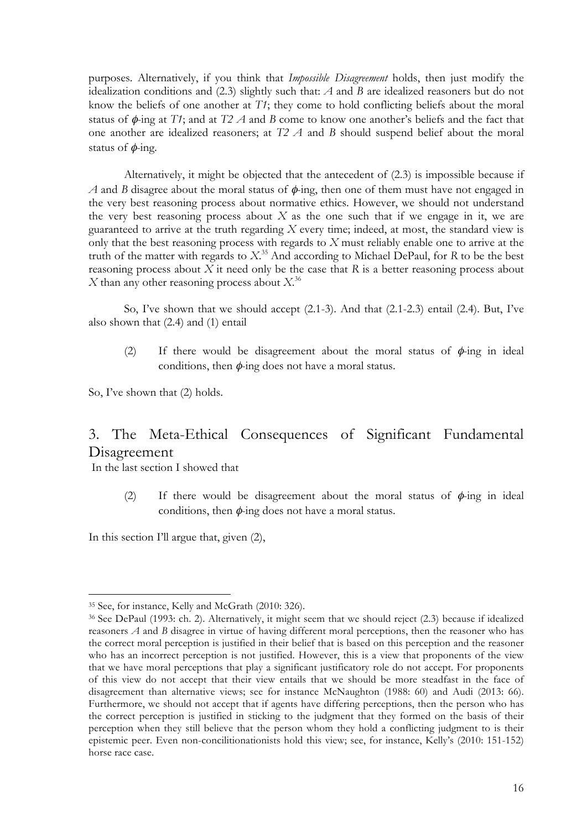purposes. Alternatively, if you think that *Impossible Disagreement* holds, then just modify the idealization conditions and (2.3) slightly such that: *A* and *B* are idealized reasoners but do not know the beliefs of one another at *T1*; they come to hold conflicting beliefs about the moral status of φ-ing at *T1*; and at *T2 A* and *B* come to know one another's beliefs and the fact that one another are idealized reasoners; at *T2 A* and *B* should suspend belief about the moral status of  $\phi$ -ing.

Alternatively, it might be objected that the antecedent of (2.3) is impossible because if *A* and *B* disagree about the moral status of  $\phi$ -ing, then one of them must have not engaged in the very best reasoning process about normative ethics. However, we should not understand the very best reasoning process about  $X$  as the one such that if we engage in it, we are guaranteed to arrive at the truth regarding *X* every time; indeed, at most, the standard view is only that the best reasoning process with regards to *X* must reliably enable one to arrive at the truth of the matter with regards to *X*. <sup>35</sup> And according to Michael DePaul, for *R* to be the best reasoning process about *X* it need only be the case that *R* is a better reasoning process about *X* than any other reasoning process about *X*. 36

So, I've shown that we should accept (2.1-3). And that (2.1-2.3) entail (2.4). But, I've also shown that (2.4) and (1) entail

(2) If there would be disagreement about the moral status of  $\phi$ -ing in ideal conditions, then  $\phi$ -ing does not have a moral status.

So, I've shown that (2) holds.

# 3. The Meta-Ethical Consequences of Significant Fundamental Disagreement

In the last section I showed that

(2) If there would be disagreement about the moral status of  $\phi$ -ing in ideal conditions, then  $\phi$ -ing does not have a moral status.

In this section I'll argue that, given (2),

 <sup>35</sup> See, for instance, Kelly and McGrath (2010: 326).

<sup>36</sup> See DePaul (1993: ch. 2). Alternatively, it might seem that we should reject (2.3) because if idealized reasoners *A* and *B* disagree in virtue of having different moral perceptions, then the reasoner who has the correct moral perception is justified in their belief that is based on this perception and the reasoner who has an incorrect perception is not justified. However, this is a view that proponents of the view that we have moral perceptions that play a significant justificatory role do not accept. For proponents of this view do not accept that their view entails that we should be more steadfast in the face of disagreement than alternative views; see for instance McNaughton (1988: 60) and Audi (2013: 66). Furthermore, we should not accept that if agents have differing perceptions, then the person who has the correct perception is justified in sticking to the judgment that they formed on the basis of their perception when they still believe that the person whom they hold a conflicting judgment to is their epistemic peer. Even non-concilitionationists hold this view; see, for instance, Kelly's (2010: 151-152) horse race case.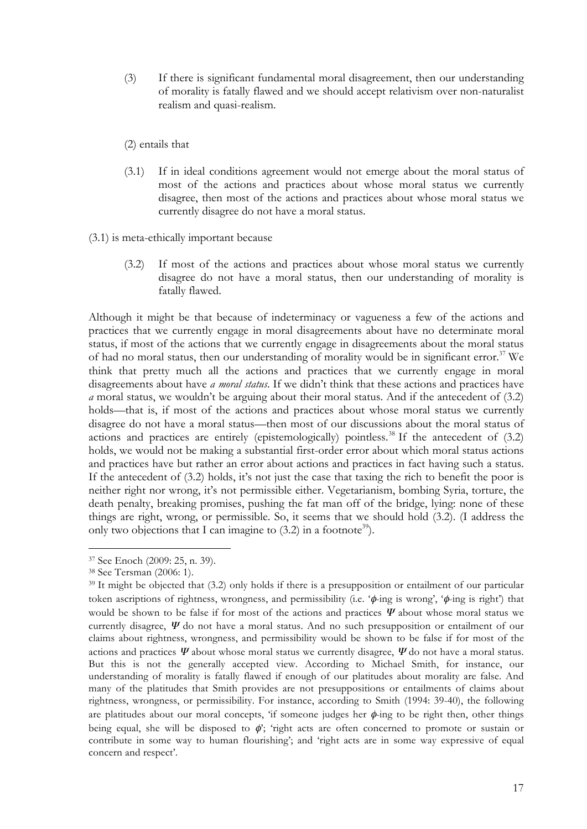(3) If there is significant fundamental moral disagreement, then our understanding of morality is fatally flawed and we should accept relativism over non-naturalist realism and quasi-realism.

(2) entails that

- (3.1) If in ideal conditions agreement would not emerge about the moral status of most of the actions and practices about whose moral status we currently disagree, then most of the actions and practices about whose moral status we currently disagree do not have a moral status.
- (3.1) is meta-ethically important because
	- (3.2) If most of the actions and practices about whose moral status we currently disagree do not have a moral status, then our understanding of morality is fatally flawed.

Although it might be that because of indeterminacy or vagueness a few of the actions and practices that we currently engage in moral disagreements about have no determinate moral status, if most of the actions that we currently engage in disagreements about the moral status of had no moral status, then our understanding of morality would be in significant error.<sup>37</sup> We think that pretty much all the actions and practices that we currently engage in moral disagreements about have *a moral status*. If we didn't think that these actions and practices have *a* moral status, we wouldn't be arguing about their moral status. And if the antecedent of (3.2) holds—that is, if most of the actions and practices about whose moral status we currently disagree do not have a moral status—then most of our discussions about the moral status of actions and practices are entirely (epistemologically) pointless.<sup>38</sup> If the antecedent of  $(3.2)$ holds, we would not be making a substantial first-order error about which moral status actions and practices have but rather an error about actions and practices in fact having such a status. If the antecedent of (3.2) holds, it's not just the case that taxing the rich to benefit the poor is neither right nor wrong, it's not permissible either. Vegetarianism, bombing Syria, torture, the death penalty, breaking promises, pushing the fat man off of the bridge, lying: none of these things are right, wrong, or permissible. So, it seems that we should hold (3.2). (I address the only two objections that I can imagine to  $(3.2)$  in a footnote<sup>39</sup>).

 <sup>37</sup> See Enoch (2009: 25, n. 39).

<sup>38</sup> See Tersman (2006: 1).

<sup>39</sup> It might be objected that (3.2) only holds if there is a presupposition or entailment of our particular token ascriptions of rightness, wrongness, and permissibility (i.e. 'φ-ing is wrong', 'φ-ing is right') that would be shown to be false if for most of the actions and practices  $\Psi$  about whose moral status we currently disagree, <sup>Ψ</sup> do not have a moral status. And no such presupposition or entailment of our claims about rightness, wrongness, and permissibility would be shown to be false if for most of the actions and practices  $\Psi$  about whose moral status we currently disagree,  $\Psi$  do not have a moral status. But this is not the generally accepted view. According to Michael Smith, for instance, our understanding of morality is fatally flawed if enough of our platitudes about morality are false. And many of the platitudes that Smith provides are not presuppositions or entailments of claims about rightness, wrongness, or permissibility. For instance, according to Smith (1994: 39-40), the following are platitudes about our moral concepts, 'if someone judges her  $\phi$ -ing to be right then, other things being equal, she will be disposed to  $\phi$ ; 'right acts are often concerned to promote or sustain or contribute in some way to human flourishing'; and 'right acts are in some way expressive of equal concern and respect'.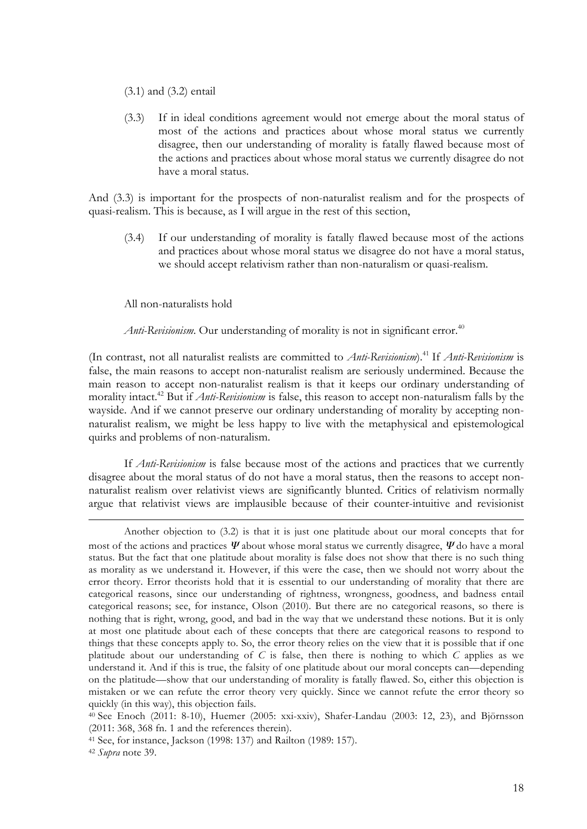#### (3.1) and (3.2) entail

(3.3) If in ideal conditions agreement would not emerge about the moral status of most of the actions and practices about whose moral status we currently disagree, then our understanding of morality is fatally flawed because most of the actions and practices about whose moral status we currently disagree do not have a moral status.

And (3.3) is important for the prospects of non-naturalist realism and for the prospects of quasi-realism. This is because, as I will argue in the rest of this section,

(3.4) If our understanding of morality is fatally flawed because most of the actions and practices about whose moral status we disagree do not have a moral status, we should accept relativism rather than non-naturalism or quasi-realism.

All non-naturalists hold

*Anti-Revisionism*. Our understanding of morality is not in significant error.<sup>40</sup>

(In contrast, not all naturalist realists are committed to *Anti-Revisionism*).41 If *Anti-Revisionism* is false, the main reasons to accept non-naturalist realism are seriously undermined. Because the main reason to accept non-naturalist realism is that it keeps our ordinary understanding of morality intact.42 But if *Anti-Revisionism* is false, this reason to accept non-naturalism falls by the wayside. And if we cannot preserve our ordinary understanding of morality by accepting nonnaturalist realism, we might be less happy to live with the metaphysical and epistemological quirks and problems of non-naturalism.

If *Anti-Revisionism* is false because most of the actions and practices that we currently disagree about the moral status of do not have a moral status, then the reasons to accept nonnaturalist realism over relativist views are significantly blunted. Critics of relativism normally argue that relativist views are implausible because of their counter-intuitive and revisionist

 $\overline{a}$ 

Another objection to (3.2) is that it is just one platitude about our moral concepts that for most of the actions and practices  $\Psi$  about whose moral status we currently disagree,  $\Psi$  do have a moral status. But the fact that one platitude about morality is false does not show that there is no such thing as morality as we understand it. However, if this were the case, then we should not worry about the error theory. Error theorists hold that it is essential to our understanding of morality that there are categorical reasons, since our understanding of rightness, wrongness, goodness, and badness entail categorical reasons; see, for instance, Olson (2010). But there are no categorical reasons, so there is nothing that is right, wrong, good, and bad in the way that we understand these notions. But it is only at most one platitude about each of these concepts that there are categorical reasons to respond to things that these concepts apply to. So, the error theory relies on the view that it is possible that if one platitude about our understanding of *C* is false, then there is nothing to which *C* applies as we understand it. And if this is true, the falsity of one platitude about our moral concepts can—depending on the platitude—show that our understanding of morality is fatally flawed. So, either this objection is mistaken or we can refute the error theory very quickly. Since we cannot refute the error theory so quickly (in this way), this objection fails.

<sup>40</sup> See Enoch (2011: 8-10), Huemer (2005: xxi-xxiv), Shafer-Landau (2003: 12, 23), and Björnsson (2011: 368, 368 fn. 1 and the references therein).

<sup>41</sup> See, for instance, Jackson (1998: 137) and Railton (1989: 157).

<sup>42</sup> *Supra* note 39.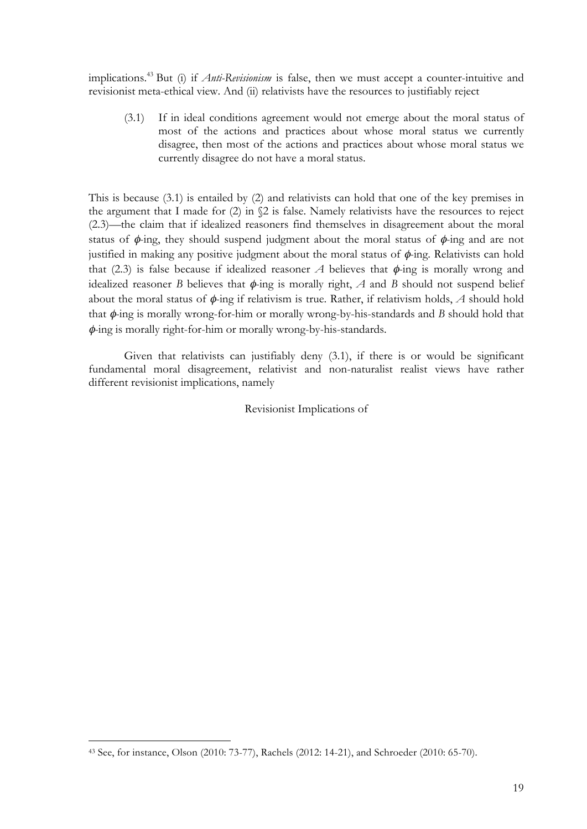implications.43 But (i) if *Anti-Revisionism* is false, then we must accept a counter-intuitive and revisionist meta-ethical view. And (ii) relativists have the resources to justifiably reject

(3.1) If in ideal conditions agreement would not emerge about the moral status of most of the actions and practices about whose moral status we currently disagree, then most of the actions and practices about whose moral status we currently disagree do not have a moral status.

This is because (3.1) is entailed by (2) and relativists can hold that one of the key premises in the argument that I made for (2) in §2 is false. Namely relativists have the resources to reject (2.3)—the claim that if idealized reasoners find themselves in disagreement about the moral status of  $\phi$ -ing, they should suspend judgment about the moral status of  $\phi$ -ing and are not justified in making any positive judgment about the moral status of  $\phi$ -ing. Relativists can hold that (2.3) is false because if idealized reasoner *A* believes that  $\phi$ -ing is morally wrong and idealized reasoner *B* believes that  $\phi$ -ing is morally right, *A* and *B* should not suspend belief about the moral status of φ-ing if relativism is true. Rather, if relativism holds, *A* should hold that φ-ing is morally wrong-for-him or morally wrong-by-his-standards and *B* should hold that φ-ing is morally right-for-him or morally wrong-by-his-standards.

Given that relativists can justifiably deny (3.1), if there is or would be significant fundamental moral disagreement, relativist and non-naturalist realist views have rather different revisionist implications, namely

Revisionist Implications of

 <sup>43</sup> See, for instance, Olson (2010: 73-77), Rachels (2012: 14-21), and Schroeder (2010: 65-70).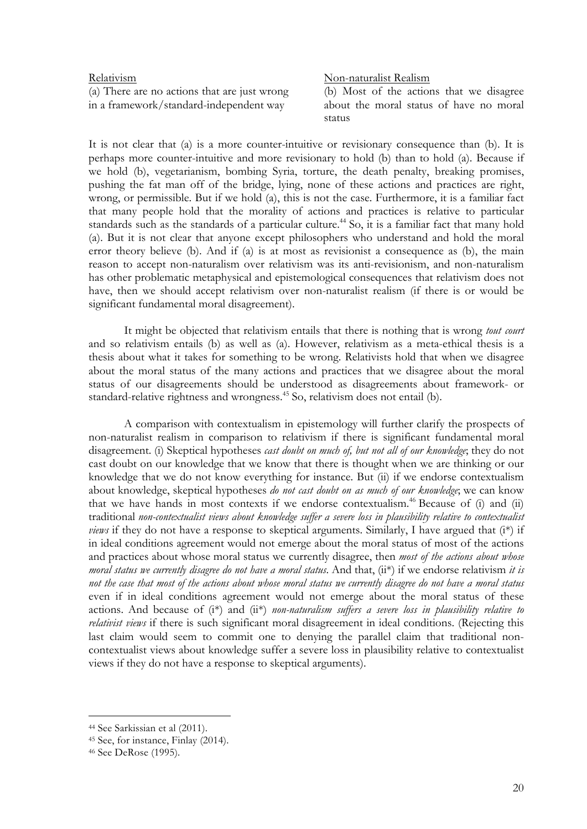#### Relativism

Non-naturalist Realism

(a) There are no actions that are just wrong in a framework/standard-independent way

(b) Most of the actions that we disagree about the moral status of have no moral status

It is not clear that (a) is a more counter-intuitive or revisionary consequence than (b). It is perhaps more counter-intuitive and more revisionary to hold (b) than to hold (a). Because if we hold (b), vegetarianism, bombing Syria, torture, the death penalty, breaking promises, pushing the fat man off of the bridge, lying, none of these actions and practices are right, wrong, or permissible. But if we hold (a), this is not the case. Furthermore, it is a familiar fact that many people hold that the morality of actions and practices is relative to particular standards such as the standards of a particular culture.<sup>44</sup> So, it is a familiar fact that many hold (a). But it is not clear that anyone except philosophers who understand and hold the moral error theory believe (b). And if (a) is at most as revisionist a consequence as (b), the main reason to accept non-naturalism over relativism was its anti-revisionism, and non-naturalism has other problematic metaphysical and epistemological consequences that relativism does not have, then we should accept relativism over non-naturalist realism (if there is or would be significant fundamental moral disagreement).

It might be objected that relativism entails that there is nothing that is wrong *tout court* and so relativism entails (b) as well as (a). However, relativism as a meta-ethical thesis is a thesis about what it takes for something to be wrong. Relativists hold that when we disagree about the moral status of the many actions and practices that we disagree about the moral status of our disagreements should be understood as disagreements about framework- or standard-relative rightness and wrongness.<sup>45</sup> So, relativism does not entail (b).

A comparison with contextualism in epistemology will further clarify the prospects of non-naturalist realism in comparison to relativism if there is significant fundamental moral disagreement. (i) Skeptical hypotheses *cast doubt on much of, but not all of our knowledge*; they do not cast doubt on our knowledge that we know that there is thought when we are thinking or our knowledge that we do not know everything for instance. But (ii) if we endorse contextualism about knowledge, skeptical hypotheses *do not cast doubt on as much of our knowledge*; we can know that we have hands in most contexts if we endorse contextualism.<sup>46</sup> Because of (i) and (ii) traditional *non-contextualist views about knowledge suffer a severe loss in plausibility relative to contextualist views* if they do not have a response to skeptical arguments. Similarly, I have argued that (i<sup>\*</sup>) if in ideal conditions agreement would not emerge about the moral status of most of the actions and practices about whose moral status we currently disagree, then *most of the actions about whose moral status we currently disagree do not have a moral status*. And that, (ii\*) if we endorse relativism *it is not the case that most of the actions about whose moral status we currently disagree do not have a moral status* even if in ideal conditions agreement would not emerge about the moral status of these actions. And because of (i\*) and (ii\*) *non-naturalism suffers a severe loss in plausibility relative to relativist views* if there is such significant moral disagreement in ideal conditions. (Rejecting this last claim would seem to commit one to denying the parallel claim that traditional noncontextualist views about knowledge suffer a severe loss in plausibility relative to contextualist views if they do not have a response to skeptical arguments).

 <sup>44</sup> See Sarkissian et al (2011).

<sup>45</sup> See, for instance, Finlay (2014).

<sup>46</sup> See DeRose (1995).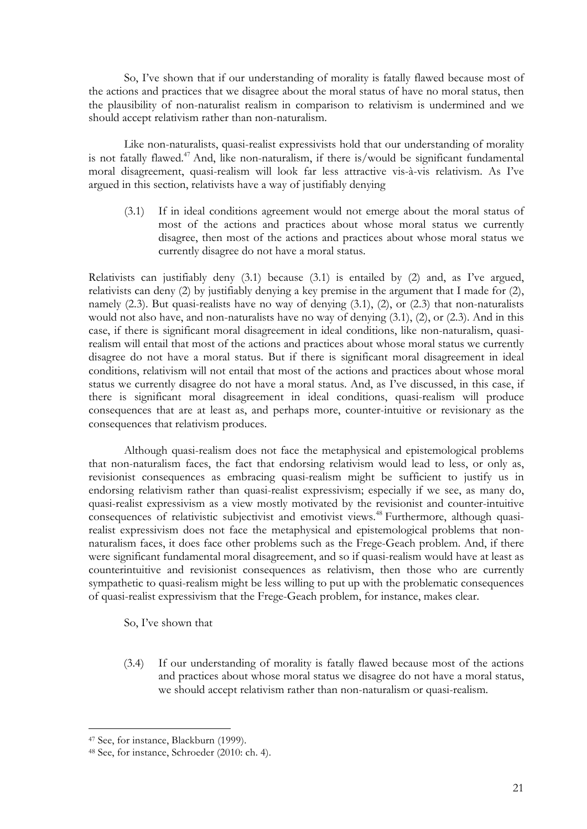So, I've shown that if our understanding of morality is fatally flawed because most of the actions and practices that we disagree about the moral status of have no moral status, then the plausibility of non-naturalist realism in comparison to relativism is undermined and we should accept relativism rather than non-naturalism.

Like non-naturalists, quasi-realist expressivists hold that our understanding of morality is not fatally flawed.<sup>47</sup> And, like non-naturalism, if there is/would be significant fundamental moral disagreement, quasi-realism will look far less attractive vis-à-vis relativism. As I've argued in this section, relativists have a way of justifiably denying

(3.1) If in ideal conditions agreement would not emerge about the moral status of most of the actions and practices about whose moral status we currently disagree, then most of the actions and practices about whose moral status we currently disagree do not have a moral status.

Relativists can justifiably deny (3.1) because (3.1) is entailed by (2) and, as I've argued, relativists can deny (2) by justifiably denying a key premise in the argument that I made for (2), namely (2.3). But quasi-realists have no way of denying (3.1), (2), or (2.3) that non-naturalists would not also have, and non-naturalists have no way of denying (3.1), (2), or (2.3). And in this case, if there is significant moral disagreement in ideal conditions, like non-naturalism, quasirealism will entail that most of the actions and practices about whose moral status we currently disagree do not have a moral status. But if there is significant moral disagreement in ideal conditions, relativism will not entail that most of the actions and practices about whose moral status we currently disagree do not have a moral status. And, as I've discussed, in this case, if there is significant moral disagreement in ideal conditions, quasi-realism will produce consequences that are at least as, and perhaps more, counter-intuitive or revisionary as the consequences that relativism produces.

Although quasi-realism does not face the metaphysical and epistemological problems that non-naturalism faces, the fact that endorsing relativism would lead to less, or only as, revisionist consequences as embracing quasi-realism might be sufficient to justify us in endorsing relativism rather than quasi-realist expressivism; especially if we see, as many do, quasi-realist expressivism as a view mostly motivated by the revisionist and counter-intuitive consequences of relativistic subjectivist and emotivist views.<sup>48</sup> Furthermore, although quasirealist expressivism does not face the metaphysical and epistemological problems that nonnaturalism faces, it does face other problems such as the Frege-Geach problem. And, if there were significant fundamental moral disagreement, and so if quasi-realism would have at least as counterintuitive and revisionist consequences as relativism, then those who are currently sympathetic to quasi-realism might be less willing to put up with the problematic consequences of quasi-realist expressivism that the Frege-Geach problem, for instance, makes clear.

So, I've shown that

(3.4) If our understanding of morality is fatally flawed because most of the actions and practices about whose moral status we disagree do not have a moral status, we should accept relativism rather than non-naturalism or quasi-realism.

 <sup>47</sup> See, for instance, Blackburn (1999).

<sup>48</sup> See, for instance, Schroeder (2010: ch. 4).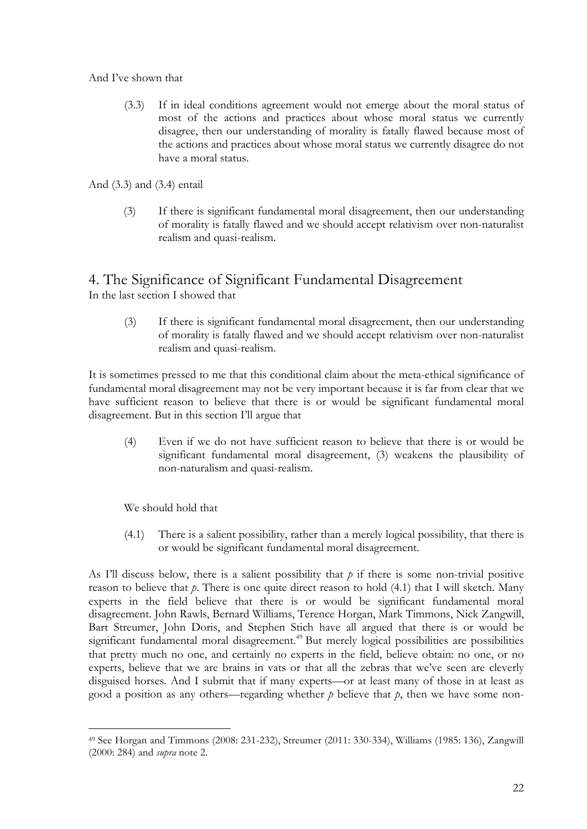And I've shown that

(3.3) If in ideal conditions agreement would not emerge about the moral status of most of the actions and practices about whose moral status we currently disagree, then our understanding of morality is fatally flawed because most of the actions and practices about whose moral status we currently disagree do not have a moral status.

And (3.3) and (3.4) entail

(3) If there is significant fundamental moral disagreement, then our understanding of morality is fatally flawed and we should accept relativism over non-naturalist realism and quasi-realism.

# 4. The Significance of Significant Fundamental Disagreement In the last section I showed that

(3) If there is significant fundamental moral disagreement, then our understanding of morality is fatally flawed and we should accept relativism over non-naturalist realism and quasi-realism.

It is sometimes pressed to me that this conditional claim about the meta-ethical significance of fundamental moral disagreement may not be very important because it is far from clear that we have sufficient reason to believe that there is or would be significant fundamental moral disagreement. But in this section I'll argue that

(4) Even if we do not have sufficient reason to believe that there is or would be significant fundamental moral disagreement, (3) weakens the plausibility of non-naturalism and quasi-realism.

We should hold that

(4.1) There is a salient possibility, rather than a merely logical possibility, that there is or would be significant fundamental moral disagreement.

As I'll discuss below, there is a salient possibility that  $p$  if there is some non-trivial positive reason to believe that *p*. There is one quite direct reason to hold (4.1) that I will sketch. Many experts in the field believe that there is or would be significant fundamental moral disagreement. John Rawls, Bernard Williams, Terence Horgan, Mark Timmons, Nick Zangwill, Bart Streumer, John Doris, and Stephen Stich have all argued that there is or would be significant fundamental moral disagreement.<sup>49</sup> But merely logical possibilities are possibilities that pretty much no one, and certainly no experts in the field, believe obtain: no one, or no experts, believe that we are brains in vats or that all the zebras that we've seen are cleverly disguised horses. And I submit that if many experts—or at least many of those in at least as good a position as any others—regarding whether  $p$  believe that  $p$ , then we have some non-

 <sup>49</sup> See Horgan and Timmons (2008: 231-232), Streumer (2011: 330-334), Williams (1985: 136), Zangwill (2000: 284) and *supra* note 2.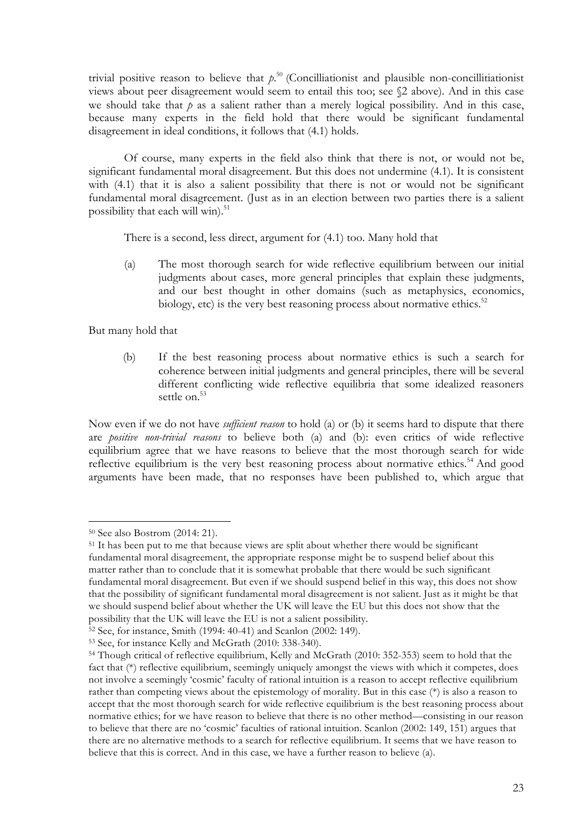trivial positive reason to believe that  $p$ <sup>50</sup> (Concilliationist and plausible non-concillitiationist views about peer disagreement would seem to entail this too; see §2 above). And in this case we should take that *p* as a salient rather than a merely logical possibility. And in this case, because many experts in the field hold that there would be significant fundamental disagreement in ideal conditions, it follows that (4.1) holds.

Of course, many experts in the field also think that there is not, or would not be, significant fundamental moral disagreement. But this does not undermine (4.1). It is consistent with (4.1) that it is also a salient possibility that there is not or would not be significant fundamental moral disagreement. (Just as in an election between two parties there is a salient possibility that each will win).<sup>51</sup>

There is a second, less direct, argument for (4.1) too. Many hold that

(a) The most thorough search for wide reflective equilibrium between our initial judgments about cases, more general principles that explain these judgments, and our best thought in other domains (such as metaphysics, economics, biology, etc) is the very best reasoning process about normative ethics.<sup>52</sup>

But many hold that

(b) If the best reasoning process about normative ethics is such a search for coherence between initial judgments and general principles, there will be several different conflicting wide reflective equilibria that some idealized reasoners settle on  $53$ 

Now even if we do not have *sufficient reason* to hold (a) or (b) it seems hard to dispute that there are *positive non-trivial reasons* to believe both (a) and (b): even critics of wide reflective equilibrium agree that we have reasons to believe that the most thorough search for wide reflective equilibrium is the very best reasoning process about normative ethics.<sup>54</sup> And good arguments have been made, that no responses have been published to, which argue that

 <sup>50</sup> See also Bostrom (2014: 21).

<sup>51</sup> It has been put to me that because views are split about whether there would be significant fundamental moral disagreement, the appropriate response might be to suspend belief about this matter rather than to conclude that it is somewhat probable that there would be such significant fundamental moral disagreement. But even if we should suspend belief in this way, this does not show that the possibility of significant fundamental moral disagreement is not salient. Just as it might be that we should suspend belief about whether the UK will leave the EU but this does not show that the possibility that the UK will leave the EU is not a salient possibility.

<sup>52</sup> See, for instance, Smith (1994: 40-41) and Scanlon (2002: 149).

<sup>53</sup> See, for instance Kelly and McGrath (2010: 338-340).

<sup>54</sup> Though critical of reflective equilibrium, Kelly and McGrath (2010: 352-353) seem to hold that the fact that (\*) reflective equilibrium, seemingly uniquely amongst the views with which it competes, does not involve a seemingly 'cosmic' faculty of rational intuition is a reason to accept reflective equilibrium rather than competing views about the epistemology of morality. But in this case (\*) is also a reason to accept that the most thorough search for wide reflective equilibrium is the best reasoning process about normative ethics; for we have reason to believe that there is no other method—consisting in our reason to believe that there are no 'cosmic' faculties of rational intuition. Scanlon (2002: 149, 151) argues that there are no alternative methods to a search for reflective equilibrium. It seems that we have reason to believe that this is correct. And in this case, we have a further reason to believe (a).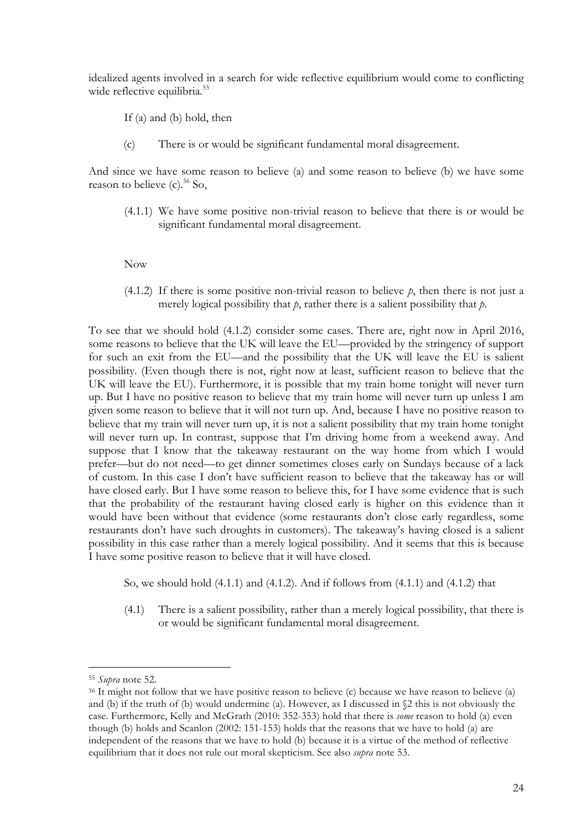idealized agents involved in a search for wide reflective equilibrium would come to conflicting wide reflective equilibria.<sup>55</sup>

If (a) and (b) hold, then

(c) There is or would be significant fundamental moral disagreement.

And since we have some reason to believe (a) and some reason to believe (b) we have some reason to believe  $(c).$ <sup>56</sup> So,

(4.1.1) We have some positive non-trivial reason to believe that there is or would be significant fundamental moral disagreement.

Now

 $(4.1.2)$  If there is some positive non-trivial reason to believe  $p$ , then there is not just a merely logical possibility that *p*, rather there is a salient possibility that *p*.

To see that we should hold (4.1.2) consider some cases. There are, right now in April 2016, some reasons to believe that the UK will leave the EU—provided by the stringency of support for such an exit from the EU—and the possibility that the UK will leave the EU is salient possibility. (Even though there is not, right now at least, sufficient reason to believe that the UK will leave the EU). Furthermore, it is possible that my train home tonight will never turn up. But I have no positive reason to believe that my train home will never turn up unless I am given some reason to believe that it will not turn up. And, because I have no positive reason to believe that my train will never turn up, it is not a salient possibility that my train home tonight will never turn up. In contrast, suppose that I'm driving home from a weekend away. And suppose that I know that the takeaway restaurant on the way home from which I would prefer—but do not need—to get dinner sometimes closes early on Sundays because of a lack of custom. In this case I don't have sufficient reason to believe that the takeaway has or will have closed early. But I have some reason to believe this, for I have some evidence that is such that the probability of the restaurant having closed early is higher on this evidence than it would have been without that evidence (some restaurants don't close early regardless, some restaurants don't have such droughts in customers). The takeaway's having closed is a salient possibility in this case rather than a merely logical possibility. And it seems that this is because I have some positive reason to believe that it will have closed.

So, we should hold (4.1.1) and (4.1.2). And if follows from (4.1.1) and (4.1.2) that

(4.1) There is a salient possibility, rather than a merely logical possibility, that there is or would be significant fundamental moral disagreement.

 <sup>55</sup> *Supra* note 52.

<sup>56</sup> It might not follow that we have positive reason to believe (c) because we have reason to believe (a) and (b) if the truth of (b) would undermine (a). However, as I discussed in  $\S2$  this is not obviously the case. Furthermore, Kelly and McGrath (2010: 352-353) hold that there is *some* reason to hold (a) even though (b) holds and Scanlon (2002: 151-153) holds that the reasons that we have to hold (a) are independent of the reasons that we have to hold (b) because it is a virtue of the method of reflective equilibrium that it does not rule out moral skepticism. See also *supra* note 53.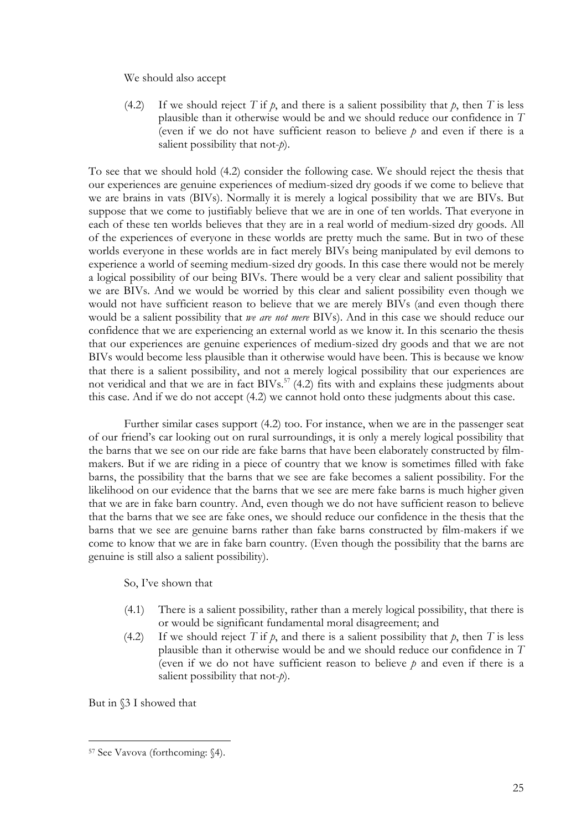We should also accept

(4.2) If we should reject *T* if  $p$ , and there is a salient possibility that  $p$ , then *T* is less plausible than it otherwise would be and we should reduce our confidence in *T* (even if we do not have sufficient reason to believe *p* and even if there is a salient possibility that not-*p*).

To see that we should hold (4.2) consider the following case. We should reject the thesis that our experiences are genuine experiences of medium-sized dry goods if we come to believe that we are brains in vats (BIVs). Normally it is merely a logical possibility that we are BIVs. But suppose that we come to justifiably believe that we are in one of ten worlds. That everyone in each of these ten worlds believes that they are in a real world of medium-sized dry goods. All of the experiences of everyone in these worlds are pretty much the same. But in two of these worlds everyone in these worlds are in fact merely BIVs being manipulated by evil demons to experience a world of seeming medium-sized dry goods. In this case there would not be merely a logical possibility of our being BIVs. There would be a very clear and salient possibility that we are BIVs. And we would be worried by this clear and salient possibility even though we would not have sufficient reason to believe that we are merely BIVs (and even though there would be a salient possibility that *we are not mere* BIVs). And in this case we should reduce our confidence that we are experiencing an external world as we know it. In this scenario the thesis that our experiences are genuine experiences of medium-sized dry goods and that we are not BIVs would become less plausible than it otherwise would have been. This is because we know that there is a salient possibility, and not a merely logical possibility that our experiences are not veridical and that we are in fact BIVs.<sup>57</sup> (4.2) fits with and explains these judgments about this case. And if we do not accept (4.2) we cannot hold onto these judgments about this case.

Further similar cases support (4.2) too. For instance, when we are in the passenger seat of our friend's car looking out on rural surroundings, it is only a merely logical possibility that the barns that we see on our ride are fake barns that have been elaborately constructed by filmmakers. But if we are riding in a piece of country that we know is sometimes filled with fake barns, the possibility that the barns that we see are fake becomes a salient possibility. For the likelihood on our evidence that the barns that we see are mere fake barns is much higher given that we are in fake barn country. And, even though we do not have sufficient reason to believe that the barns that we see are fake ones, we should reduce our confidence in the thesis that the barns that we see are genuine barns rather than fake barns constructed by film-makers if we come to know that we are in fake barn country. (Even though the possibility that the barns are genuine is still also a salient possibility).

So, I've shown that

- (4.1) There is a salient possibility, rather than a merely logical possibility, that there is or would be significant fundamental moral disagreement; and
- (4.2) If we should reject *T* if  $p$ , and there is a salient possibility that  $p$ , then *T* is less plausible than it otherwise would be and we should reduce our confidence in *T* (even if we do not have sufficient reason to believe *p* and even if there is a salient possibility that not-*p*).

But in §3 I showed that

 <sup>57</sup> See Vavova (forthcoming: §4).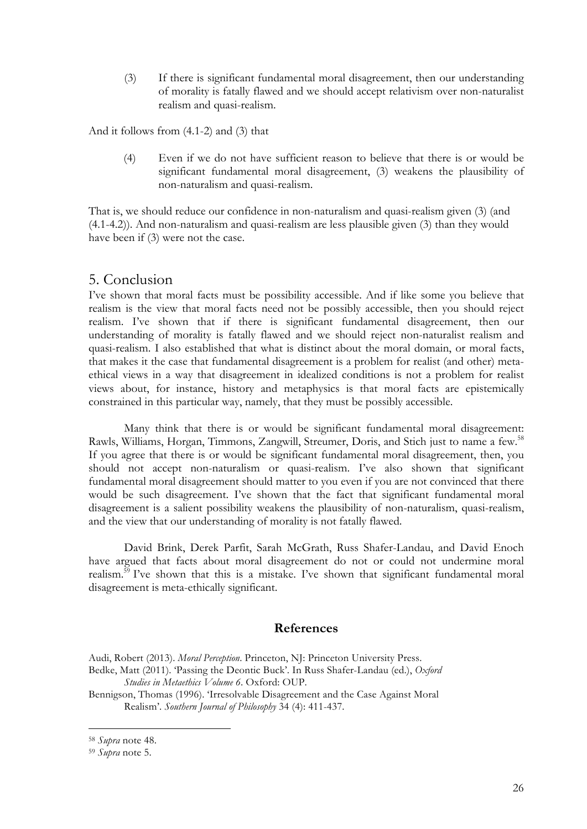(3) If there is significant fundamental moral disagreement, then our understanding of morality is fatally flawed and we should accept relativism over non-naturalist realism and quasi-realism.

And it follows from (4.1-2) and (3) that

(4) Even if we do not have sufficient reason to believe that there is or would be significant fundamental moral disagreement, (3) weakens the plausibility of non-naturalism and quasi-realism.

That is, we should reduce our confidence in non-naturalism and quasi-realism given (3) (and (4.1-4.2)). And non-naturalism and quasi-realism are less plausible given (3) than they would have been if (3) were not the case.

### 5. Conclusion

I've shown that moral facts must be possibility accessible. And if like some you believe that realism is the view that moral facts need not be possibly accessible, then you should reject realism. I've shown that if there is significant fundamental disagreement, then our understanding of morality is fatally flawed and we should reject non-naturalist realism and quasi-realism. I also established that what is distinct about the moral domain, or moral facts, that makes it the case that fundamental disagreement is a problem for realist (and other) metaethical views in a way that disagreement in idealized conditions is not a problem for realist views about, for instance, history and metaphysics is that moral facts are epistemically constrained in this particular way, namely, that they must be possibly accessible.

Many think that there is or would be significant fundamental moral disagreement: Rawls, Williams, Horgan, Timmons, Zangwill, Streumer, Doris, and Stich just to name a few.58 If you agree that there is or would be significant fundamental moral disagreement, then, you should not accept non-naturalism or quasi-realism. I've also shown that significant fundamental moral disagreement should matter to you even if you are not convinced that there would be such disagreement. I've shown that the fact that significant fundamental moral disagreement is a salient possibility weakens the plausibility of non-naturalism, quasi-realism, and the view that our understanding of morality is not fatally flawed.

David Brink, Derek Parfit, Sarah McGrath, Russ Shafer-Landau, and David Enoch have argued that facts about moral disagreement do not or could not undermine moral realism.59 I've shown that this is a mistake. I've shown that significant fundamental moral disagreement is meta-ethically significant.

### **References**

Audi, Robert (2013). *Moral Perception*. Princeton, NJ: Princeton University Press. Bedke, Matt (2011). 'Passing the Deontic Buck'. In Russ Shafer-Landau (ed.), *Oxford Studies in Metaethics Volume 6*. Oxford: OUP.

Bennigson, Thomas (1996). 'Irresolvable Disagreement and the Case Against Moral Realism'. *Southern Journal of Philosophy* 34 (4): 411-437.

 <sup>58</sup> *Supra* note 48.

<sup>59</sup> *Supra* note 5.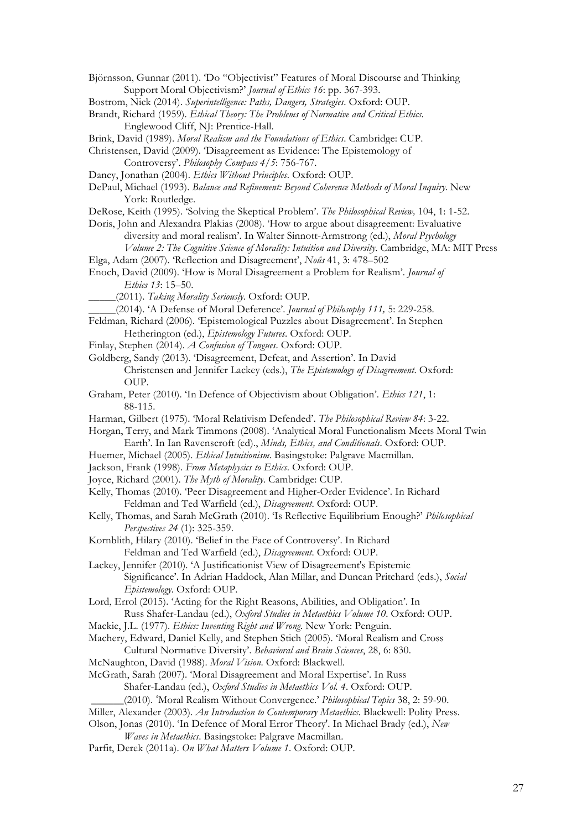Björnsson, Gunnar (2011). 'Do "Objectivist" Features of Moral Discourse and Thinking Support Moral Objectivism?' *Journal of Ethics 16*: pp. 367-393.

- Brandt, Richard (1959). *Ethical Theory: The Problems of Normative and Critical Ethics*. Englewood Cliff, NJ: Prentice-Hall.
- Brink, David (1989). *Moral Realism and the Foundations of Ethics*. Cambridge: CUP.
- Christensen, David (2009). 'Disagreement as Evidence: The Epistemology of Controversy'. *Philosophy Compass 4/5*: 756-767.
- Dancy, Jonathan (2004). *Ethics Without Principles*. Oxford: OUP.

DeRose, Keith (1995). 'Solving the Skeptical Problem'. *The Philosophical Review,* 104, 1: 1-52.

- Doris, John and Alexandra Plakias (2008). 'How to argue about disagreement: Evaluative diversity and moral realism'. In Walter Sinnott-Armstrong (ed.), *Moral Psychology Volume 2: The Cognitive Science of Morality: Intuition and Diversity*. Cambridge, MA: MIT Press
- Elga, Adam (2007). 'Reflection and Disagreement', *Noûs* 41, 3: 478–502

Enoch, David (2009). 'How is Moral Disagreement a Problem for Realism'. *Journal of Ethics 13*: 15–50.

- \_\_\_\_\_(2011). *Taking Morality Seriously*. Oxford: OUP.
- \_\_\_\_\_(2014). 'A Defense of Moral Deference'. *Journal of Philosophy 111,* 5: 229-258.
- Feldman, Richard (2006). 'Epistemological Puzzles about Disagreement'. In Stephen Hetherington (ed.), *Epistemology Futures*. Oxford: OUP.
- Finlay, Stephen (2014). *A Confusion of Tongues*. Oxford: OUP.
- Goldberg, Sandy (2013). 'Disagreement, Defeat, and Assertion'. In David Christensen and Jennifer Lackey (eds.), *The Epistemology of Disagreement*. Oxford: OUP.
- Graham, Peter (2010). 'In Defence of Objectivism about Obligation'. *Ethics 121*, 1: 88-115.
- Harman, Gilbert (1975). 'Moral Relativism Defended'. *The Philosophical Review 84*: 3-22.
- Horgan, Terry, and Mark Timmons (2008). 'Analytical Moral Functionalism Meets Moral Twin Earth'. In Ian Ravenscroft (ed)., *Minds, Ethics, and Conditionals*. Oxford: OUP.
- Huemer, Michael (2005). *Ethical Intuitionism*. Basingstoke: Palgrave Macmillan.
- Jackson, Frank (1998). *From Metaphysics to Ethics*. Oxford: OUP.
- Joyce, Richard (2001). *The Myth of Morality*. Cambridge: CUP.

Kelly, Thomas (2010). 'Peer Disagreement and Higher-Order Evidence'. In Richard Feldman and Ted Warfield (ed.), *Disagreement*. Oxford: OUP.

- Kelly, Thomas, and Sarah McGrath (2010). 'Is Reflective Equilibrium Enough?' *Philosophical Perspectives 24* (1): 325-359.
- Kornblith, Hilary (2010). 'Belief in the Face of Controversy'. In Richard Feldman and Ted Warfield (ed.), *Disagreement*. Oxford: OUP.

Lackey, Jennifer (2010). 'A Justificationist View of Disagreement's Epistemic Significance'. In Adrian Haddock, Alan Millar, and Duncan Pritchard (eds.), *Social Epistemology*. Oxford: OUP.

Lord, Errol (2015). 'Acting for the Right Reasons, Abilities, and Obligation'. In

Russ Shafer-Landau (ed.), *Oxford Studies in Metaethics Volume 10*. Oxford: OUP.

- Mackie, J.L. (1977). *Ethics: Inventing Right and Wrong*. New York: Penguin.
- Machery, Edward, Daniel Kelly, and Stephen Stich (2005). 'Moral Realism and Cross Cultural Normative Diversity'. *Behavioral and Brain Sciences*, 28, 6: 830.
- McNaughton, David (1988). *Moral Vision*. Oxford: Blackwell.

McGrath, Sarah (2007). 'Moral Disagreement and Moral Expertise'. In Russ Shafer-Landau (ed.), *Oxford Studies in Metaethics Vol. 4*. Oxford: OUP.

- \_\_\_\_\_\_(2010). 'Moral Realism Without Convergence.' *Philosophical Topics* 38, 2: 59-90.
- Miller, Alexander (2003). *An Introduction to Contemporary Metaethics*. Blackwell: Polity Press.

Olson, Jonas (2010). 'In Defence of Moral Error Theory'. In Michael Brady (ed.), *New Waves in Metaethics*. Basingstoke: Palgrave Macmillan.

Parfit, Derek (2011a). *On What Matters Volume 1*. Oxford: OUP.

Bostrom, Nick (2014). *Superintelligence: Paths, Dangers, Strategies*. Oxford: OUP.

DePaul, Michael (1993). *Balance and Refinement: Beyond Coherence Methods of Moral Inquiry*. New York: Routledge.